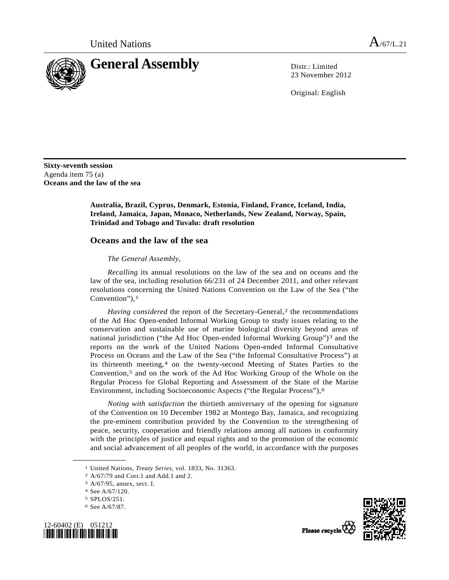

23 November 2012

Original: English

**Sixty-seventh session**  Agenda item 75 (a) **Oceans and the law of the sea** 

> **Australia, Brazil, Cyprus, Denmark, Estonia, Finland, France, Iceland, India, Ireland, Jamaica, Japan, Monaco, Netherlands, New Zealand, Norway, Spain, Trinidad and Tobago and Tuvalu: draft resolution**

# **Oceans and the law of the sea**

*The General Assembly*,

*Recalling* its annual resolutions on the law of the sea and on oceans and the law of the sea, including resolution 66/231 of 24 December 2011, and other relevant resolutions concerning the United Nations Convention on the Law of the Sea ("the Convention"),<sup>[1](#page-0-0)</sup>

Having considered the report of the Secretary-General,<sup>2</sup> the recommendations of the Ad Hoc Open-ended Informal Working Group to study issues relating to the conservation and sustainable use of marine biological diversity beyond areas of national jurisdiction ("the Ad Hoc Open-ended Informal Working Group")<sup>[3](#page-0-2)</sup> and the reports on the work of the United Nations Open-ended Informal Consultative Process on Oceans and the Law of the Sea ("the Informal Consultative Process") at its thirteenth meeting,<sup>4</sup> on the twenty-second Meeting of States Parties to the Convention,<sup>5</sup> and on the work of the Ad Hoc Working Group of the Whole on the Regular Process for Global Reporting and Assessment of the State of the Marine Environment, including Socioeconomic Aspects ("the Regular Process"),[6](#page-0-5) 

*Noting with satisfaction* the thirtieth anniversary of the opening for signature of the Convention on 10 December 1982 at Montego Bay, Jamaica, and recognizing the pre-eminent contribution provided by the Convention to the strengthening of peace, security, cooperation and friendly relations among all nations in conformity with the principles of justice and equal rights and to the promotion of the economic and social advancement of all peoples of the world, in accordance with the purposes

<span id="page-0-5"></span><span id="page-0-4"></span><span id="page-0-3"></span><span id="page-0-2"></span><span id="page-0-1"></span><span id="page-0-0"></span><sup>6</sup> See A/67/87.





<sup>1</sup> United Nations, *Treaty Series*, vol. 1833, No. 31363. 2 A/67/79 and Corr.1 and Add.1 and 2.

<sup>3</sup> A/67/95, annex, sect. I.

<sup>4</sup> See A/67/120.

<sup>5</sup> SPLOS/251.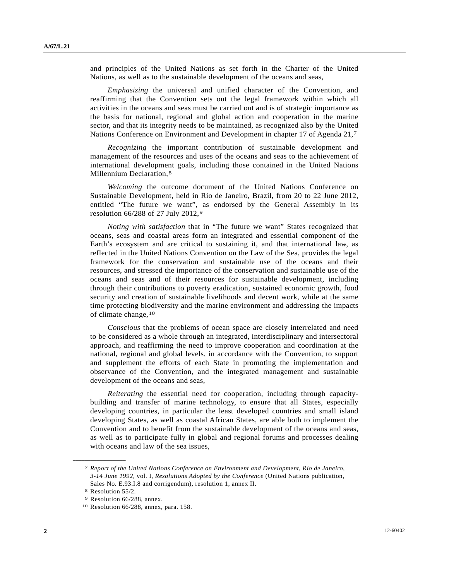and principles of the United Nations as set forth in the Charter of the United Nations, as well as to the sustainable development of the oceans and seas,

*Emphasizing* the universal and unified character of the Convention, and reaffirming that the Convention sets out the legal framework within which all activities in the oceans and seas must be carried out and is of strategic importance as the basis for national, regional and global action and cooperation in the marine sector, and that its integrity needs to be maintained, as recognized also by the United Nations Conference on Environment and Development in chapter 17 of Agenda 21,[7](#page-1-0) 

*Recognizing* the important contribution of sustainable development and management of the resources and uses of the oceans and seas to the achievement of international development goals, including those contained in the United Nations Millennium Declaration, [8](#page-1-1)

*Welcoming* the outcome document of the United Nations Conference on Sustainable Development, held in Rio de Janeiro, Brazil, from 20 to 22 June 2012, entitled "The future we want", as endorsed by the General Assembly in its resolution 66/288 of 27 July 2012,[9](#page-1-2)

*Noting with satisfaction* that in "The future we want" States recognized that oceans, seas and coastal areas form an integrated and essential component of the Earth's ecosystem and are critical to sustaining it, and that international law, as reflected in the United Nations Convention on the Law of the Sea, provides the legal framework for the conservation and sustainable use of the oceans and their resources, and stressed the importance of the conservation and sustainable use of the oceans and seas and of their resources for sustainable development, including through their contributions to poverty eradication, sustained economic growth, food security and creation of sustainable livelihoods and decent work, while at the same time protecting biodiversity and the marine environment and addressing the impacts of climate change,[1](#page-1-3)0

*Conscious* that the problems of ocean space are closely interrelated and need to be considered as a whole through an integrated, interdisciplinary and intersectoral approach, and reaffirming the need to improve cooperation and coordination at the national, regional and global levels, in accordance with the Convention, to support and supplement the efforts of each State in promoting the implementation and observance of the Convention, and the integrated management and sustainable development of the oceans and seas,

*Reiterating* the essential need for cooperation, including through capacitybuilding and transfer of marine technology, to ensure that all States, especially developing countries, in particular the least developed countries and small island developing States, as well as coastal African States, are able both to implement the Convention and to benefit from the sustainable development of the oceans and seas, as well as to participate fully in global and regional forums and processes dealing with oceans and law of the sea issues,

<span id="page-1-0"></span><sup>7</sup> *Report of the United Nations Conference on Environment and Development, Rio de Janeiro, 3-14 June 1992,* vol. I, *Resolutions Adopted by the Conference* (United Nations publication, Sales No. E.93.I.8 and corrigendum), resolution 1, annex II.

<sup>8</sup> Resolution 55/2.

<sup>9</sup> Resolution 66/288, annex.

<span id="page-1-3"></span><span id="page-1-2"></span><span id="page-1-1"></span><sup>10</sup> Resolution 66/288, annex, para. 158.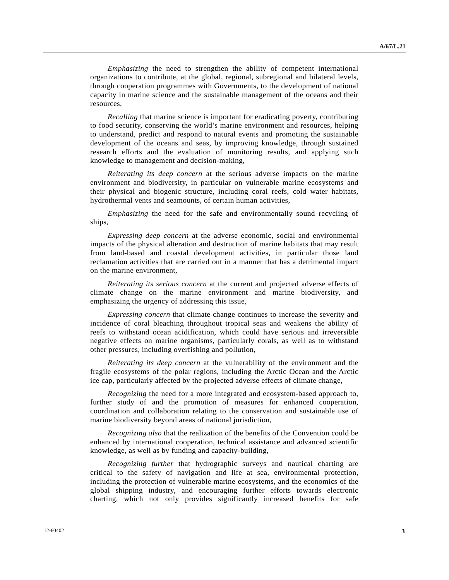*Emphasizing* the need to strengthen the ability of competent international organizations to contribute, at the global, regional, subregional and bilateral levels, through cooperation programmes with Governments, to the development of national capacity in marine science and the sustainable management of the oceans and their resources,

*Recalling* that marine science is important for eradicating poverty, contributing to food security, conserving the world's marine environment and resources, helping to understand, predict and respond to natural events and promoting the sustainable development of the oceans and seas, by improving knowledge, through sustained research efforts and the evaluation of monitoring results, and applying such knowledge to management and decision-making,

*Reiterating its deep concern* at the serious adverse impacts on the marine environment and biodiversity, in particular on vulnerable marine ecosystems and their physical and biogenic structure, including coral reefs, cold water habitats, hydrothermal vents and seamounts, of certain human activities,

*Emphasizing* the need for the safe and environmentally sound recycling of ships,

*Expressing deep concern* at the adverse economic, social and environmental impacts of the physical alteration and destruction of marine habitats that may result from land-based and coastal development activities, in particular those land reclamation activities that are carried out in a manner that has a detrimental impact on the marine environment,

*Reiterating its serious concern* at the current and projected adverse effects of climate change on the marine environment and marine biodiversity, and emphasizing the urgency of addressing this issue,

*Expressing concern* that climate change continues to increase the severity and incidence of coral bleaching throughout tropical seas and weakens the ability of reefs to withstand ocean acidification, which could have serious and irreversible negative effects on marine organisms, particularly corals, as well as to withstand other pressures, including overfishing and pollution,

*Reiterating its deep concern* at the vulnerability of the environment and the fragile ecosystems of the polar regions, including the Arctic Ocean and the Arctic ice cap, particularly affected by the projected adverse effects of climate change,

*Recognizing* the need for a more integrated and ecosystem-based approach to, further study of and the promotion of measures for enhanced cooperation, coordination and collaboration relating to the conservation and sustainable use of marine biodiversity beyond areas of national jurisdiction,

*Recognizing also* that the realization of the benefits of the Convention could be enhanced by international cooperation, technical assistance and advanced scientific knowledge, as well as by funding and capacity-building,

*Recognizing further* that hydrographic surveys and nautical charting are critical to the safety of navigation and life at sea, environmental protection, including the protection of vulnerable marine ecosystems, and the economics of the global shipping industry, and encouraging further efforts towards electronic charting, which not only provides significantly increased benefits for safe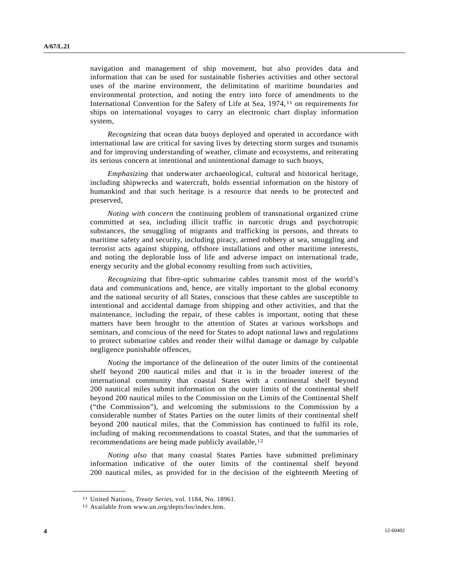navigation and management of ship movement, but also provides data and information that can be used for sustainable fisheries activities and other sectoral uses of the marine environment, the delimitation of maritime boundaries and environmental protection, and noting the entry into force of amendments to the International Convention for the Safety of Life at Sea, 1974,[11](#page-3-0) on requirements for ships on international voyages to carry an electronic chart display information system,

*Recognizing* that ocean data buoys deployed and operated in accordance with international law are critical for saving lives by detecting storm surges and tsunamis and for improving understanding of weather, climate and ecosystems, and reiterating its serious concern at intentional and unintentional damage to such buoys,

*Emphasizing* that underwater archaeological, cultural and historical heritage, including shipwrecks and watercraft, holds essential information on the history of humankind and that such heritage is a resource that needs to be protected and preserved,

*Noting with concern* the continuing problem of transnational organized crime committed at sea, including illicit traffic in narcotic drugs and psychotropic substances, the smuggling of migrants and trafficking in persons, and threats to maritime safety and security, including piracy, armed robbery at sea, smuggling and terrorist acts against shipping, offshore installations and other maritime interests, and noting the deplorable loss of life and adverse impact on international trade, energy security and the global economy resulting from such activities,

*Recognizing* that fibre-optic submarine cables transmit most of the world's data and communications and, hence, are vitally important to the global economy and the national security of all States, conscious that these cables are susceptible to intentional and accidental damage from shipping and other activities, and that the maintenance, including the repair, of these cables is important, noting that these matters have been brought to the attention of States at various workshops and seminars, and conscious of the need for States to adopt national laws and regulations to protect submarine cables and render their wilful damage or damage by culpable negligence punishable offences,

*Noting* the importance of the delineation of the outer limits of the continental shelf beyond 200 nautical miles and that it is in the broader interest of the international community that coastal States with a continental shelf beyond 200 nautical miles submit information on the outer limits of the continental shelf beyond 200 nautical miles to the Commission on the Limits of the Continental Shelf ("the Commission"), and welcoming the submissions to the Commission by a considerable number of States Parties on the outer limits of their continental shelf beyond 200 nautical miles, that the Commission has continued to fulfil its role, including of making recommendations to coastal States, and that the summaries of recommendations are being made publicly available,<sup>[12](#page-3-1)</sup>

*Noting also* that many coastal States Parties have submitted preliminary information indicative of the outer limits of the continental shelf beyond 200 nautical miles, as provided for in the decision of the eighteenth Meeting of

<span id="page-3-1"></span><span id="page-3-0"></span><sup>11</sup> United Nations, *Treaty Series*, vol. 1184, No. 18961. 12 Available from www.un.org/depts/los/index.htm.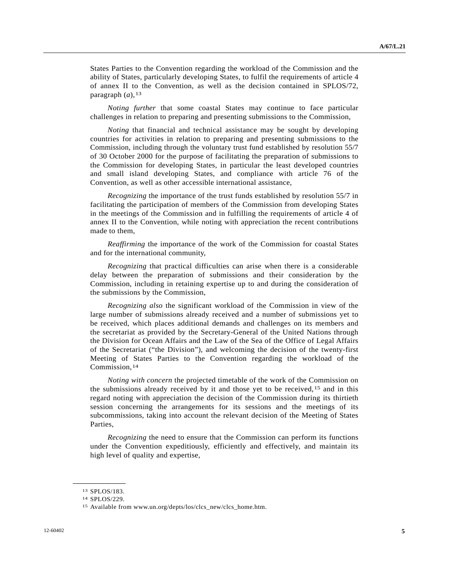States Parties to the Convention regarding the workload of the Commission and the ability of States, particularly developing States, to fulfil the requirements of article 4 of annex II to the Convention, as well as the decision contained in SPLOS/72, paragraph  $(a)$ , <sup>[13](#page-4-0)</sup>

*Noting further* that some coastal States may continue to face particular challenges in relation to preparing and presenting submissions to the Commission,

*Noting* that financial and technical assistance may be sought by developing countries for activities in relation to preparing and presenting submissions to the Commission, including through the voluntary trust fund established by resolution 55/7 of 30 October 2000 for the purpose of facilitating the preparation of submissions to the Commission for developing States, in particular the least developed countries and small island developing States, and compliance with article 76 of the Convention, as well as other accessible international assistance,

*Recognizing* the importance of the trust funds established by resolution 55/7 in facilitating the participation of members of the Commission from developing States in the meetings of the Commission and in fulfilling the requirements of article 4 of annex II to the Convention, while noting with appreciation the recent contributions made to them,

*Reaffirming* the importance of the work of the Commission for coastal States and for the international community,

*Recognizing* that practical difficulties can arise when there is a considerable delay between the preparation of submissions and their consideration by the Commission, including in retaining expertise up to and during the consideration of the submissions by the Commission,

*Recognizing also* the significant workload of the Commission in view of the large number of submissions already received and a number of submissions yet to be received, which places additional demands and challenges on its members and the secretariat as provided by the Secretary-General of the United Nations through the Division for Ocean Affairs and the Law of the Sea of the Office of Legal Affairs of the Secretariat ("the Division"), and welcoming the decision of the twenty-first Meeting of States Parties to the Convention regarding the workload of the Commission, [14](#page-4-1)

*Noting with concern* the projected timetable of the work of the Commission on the submissions already received by it and those yet to be received,[15](#page-4-2) and in this regard noting with appreciation the decision of the Commission during its thirtieth session concerning the arrangements for its sessions and the meetings of its subcommissions, taking into account the relevant decision of the Meeting of States Parties,

*Recognizing* the need to ensure that the Commission can perform its functions under the Convention expeditiously, efficiently and effectively, and maintain its high level of quality and expertise,

<span id="page-4-2"></span><span id="page-4-1"></span><span id="page-4-0"></span>**\_\_\_\_\_\_\_\_\_\_\_\_\_\_\_\_\_\_**  13 SPLOS/183.

<sup>14</sup> SPLOS/229.

<sup>15</sup> Available from www.un.org/depts/los/clcs\_new/clcs\_home.htm.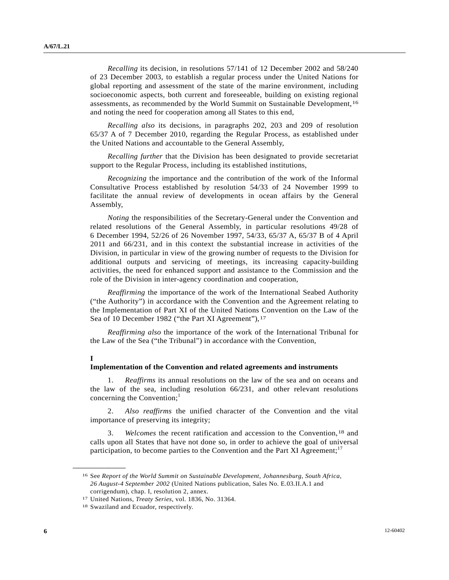*Recalling* its decision, in resolutions 57/141 of 12 December 2002 and 58/240 of 23 December 2003, to establish a regular process under the United Nations for global reporting and assessment of the state of the marine environment, including socioeconomic aspects, both current and foreseeable, building on existing regional assessments, as recommended by the World Summit on Sustainable Development,[16](#page-5-0) and noting the need for cooperation among all States to this end,

*Recalling also* its decisions, in paragraphs 202, 203 and 209 of resolution 65/37 A of 7 December 2010, regarding the Regular Process, as established under the United Nations and accountable to the General Assembly,

*Recalling further* that the Division has been designated to provide secretariat support to the Regular Process, including its established institutions,

*Recognizing* the importance and the contribution of the work of the Informal Consultative Process established by resolution 54/33 of 24 November 1999 to facilitate the annual review of developments in ocean affairs by the General Assembly,

*Noting* the responsibilities of the Secretary-General under the Convention and related resolutions of the General Assembly, in particular resolutions 49/28 of 6 December 1994, 52/26 of 26 November 1997, 54/33, 65/37 A, 65/37 B of 4 April 2011 and 66/231, and in this context the substantial increase in activities of the Division, in particular in view of the growing number of requests to the Division for additional outputs and servicing of meetings, its increasing capacity-building activities, the need for enhanced support and assistance to the Commission and the role of the Division in inter-agency coordination and cooperation,

*Reaffirming* the importance of the work of the International Seabed Authority ("the Authority") in accordance with the Convention and the Agreement relating to the Implementation of Part XI of the United Nations Convention on the Law of the Sea of 10 December 1982 ("the Part XI Agreement"), <sup>[17](#page-5-1)</sup>

*Reaffirming also* the importance of the work of the International Tribunal for the Law of the Sea ("the Tribunal") in accordance with the Convention,

### *I*

<span id="page-5-1"></span><span id="page-5-0"></span>**\_\_\_\_\_\_\_\_\_\_\_\_\_\_\_\_\_\_** 

#### **Implementation of the Convention and related agreements and instruments**

 1. *Reaffirms* its annual resolutions on the law of the sea and on oceans and the law of the sea, including resolution 66/231, and other relevant resolutions concerning the Convention; $<sup>1</sup>$ </sup>

 2. *Also reaffirms* the unified character of the Convention and the vital importance of preserving its integrity;

 3. *Welcomes* the recent ratification and accession to the Convention,[1](#page-5-2)8 and calls upon all States that have not done so, in order to achieve the goal of universal participation, to become parties to the Convention and the Part XI Agreement;<sup>17</sup>

<sup>16</sup> See *Report of the World Summit on Sustainable Development, Johannesburg, South Africa, 26 August-4 September 2002* (United Nations publication, Sales No. E.03.II.A.1 and corrigendum), chap. I, resolution 2, annex.

<span id="page-5-2"></span><sup>17</sup> United Nations, *Treaty Series*, vol. 1836, No. 31364. 18 Swaziland and Ecuador, respectively.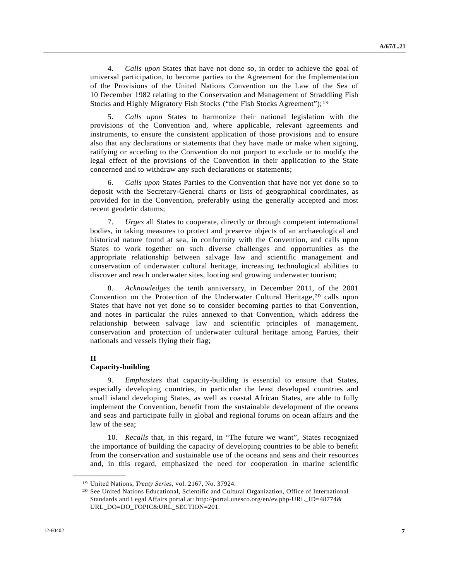4. *Calls upon* States that have not done so, in order to achieve the goal of universal participation, to become parties to the Agreement for the Implementation of the Provisions of the United Nations Convention on the Law of the Sea of 10 December 1982 relating to the Conservation and Management of Straddling Fish Stocks and Highly Migratory Fish Stocks ("the Fish Stocks Agreement");<sup>[1](#page-6-0)9</sup>

 5. *Calls upon* States to harmonize their national legislation with the provisions of the Convention and, where applicable, relevant agreements and instruments, to ensure the consistent application of those provisions and to ensure also that any declarations or statements that they have made or make when signing, ratifying or acceding to the Convention do not purport to exclude or to modify the legal effect of the provisions of the Convention in their application to the State concerned and to withdraw any such declarations or statements;

 6. *Calls upon* States Parties to the Convention that have not yet done so to deposit with the Secretary-General charts or lists of geographical coordinates, as provided for in the Convention, preferably using the generally accepted and most recent geodetic datums;

 7. *Urges* all States to cooperate, directly or through competent international bodies, in taking measures to protect and preserve objects of an archaeological and historical nature found at sea, in conformity with the Convention, and calls upon States to work together on such diverse challenges and opportunities as the appropriate relationship between salvage law and scientific management and conservation of underwater cultural heritage, increasing technological abilities to discover and reach underwater sites, looting and growing underwater tourism;

 8. *Acknowledges* the tenth anniversary, in December 2011, of the 2001 Convention on the Protection of the Underwater Cultural Heritage,<sup>[2](#page-6-1)0</sup> calls upon States that have not yet done so to consider becoming parties to that Convention, and notes in particular the rules annexed to that Convention, which address the relationship between salvage law and scientific principles of management, conservation and protection of underwater cultural heritage among Parties, their nationals and vessels flying their flag;

# **II**

<span id="page-6-1"></span><span id="page-6-0"></span>**\_\_\_\_\_\_\_\_\_\_\_\_\_\_\_\_\_\_** 

### **Capacity-building**

 9. *Emphasizes* that capacity-building is essential to ensure that States, especially developing countries, in particular the least developed countries and small island developing States, as well as coastal African States, are able to fully implement the Convention, benefit from the sustainable development of the oceans and seas and participate fully in global and regional forums on ocean affairs and the law of the sea;

 10. *Recalls* that, in this regard, in "The future we want", States recognized the importance of building the capacity of developing countries to be able to benefit from the conservation and sustainable use of the oceans and seas and their resources and, in this regard, emphasized the need for cooperation in marine scientific

<sup>19</sup> United Nations, *Treaty Series*, vol. 2167, No. 37924. 20 See United Nations Educational, Scientific and Cultural Organization, Office of International Standards and Legal Affairs portal at: http://portal.unesco.org/en/ev.php-URL\_ID=48774& URL\_DO=DO\_TOPIC&URL\_SECTION=201.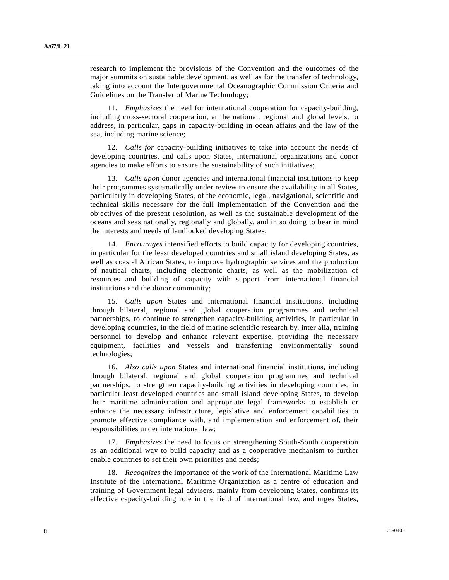research to implement the provisions of the Convention and the outcomes of the major summits on sustainable development, as well as for the transfer of technology, taking into account the Intergovernmental Oceanographic Commission Criteria and Guidelines on the Transfer of Marine Technology;

 11. *Emphasizes* the need for international cooperation for capacity-building, including cross-sectoral cooperation, at the national, regional and global levels, to address, in particular, gaps in capacity-building in ocean affairs and the law of the sea, including marine science;

 12. *Calls for* capacity-building initiatives to take into account the needs of developing countries, and calls upon States, international organizations and donor agencies to make efforts to ensure the sustainability of such initiatives;

 13. *Calls upon* donor agencies and international financial institutions to keep their programmes systematically under review to ensure the availability in all States, particularly in developing States, of the economic, legal, navigational, scientific and technical skills necessary for the full implementation of the Convention and the objectives of the present resolution, as well as the sustainable development of the oceans and seas nationally, regionally and globally, and in so doing to bear in mind the interests and needs of landlocked developing States;

 14. *Encourages* intensified efforts to build capacity for developing countries, in particular for the least developed countries and small island developing States, as well as coastal African States, to improve hydrographic services and the production of nautical charts, including electronic charts, as well as the mobilization of resources and building of capacity with support from international financial institutions and the donor community;

 15. *Calls upon* States and international financial institutions, including through bilateral, regional and global cooperation programmes and technical partnerships, to continue to strengthen capacity-building activities, in particular in developing countries, in the field of marine scientific research by, inter alia, training personnel to develop and enhance relevant expertise, providing the necessary equipment, facilities and vessels and transferring environmentally sound technologies;

 16. *Also calls upon* States and international financial institutions, including through bilateral, regional and global cooperation programmes and technical partnerships, to strengthen capacity-building activities in developing countries, in particular least developed countries and small island developing States, to develop their maritime administration and appropriate legal frameworks to establish or enhance the necessary infrastructure, legislative and enforcement capabilities to promote effective compliance with, and implementation and enforcement of, their responsibilities under international law;

 17. *Emphasizes* the need to focus on strengthening South-South cooperation as an additional way to build capacity and as a cooperative mechanism to further enable countries to set their own priorities and needs;

 18. *Recognizes* the importance of the work of the International Maritime Law Institute of the International Maritime Organization as a centre of education and training of Government legal advisers, mainly from developing States, confirms its effective capacity-building role in the field of international law, and urges States,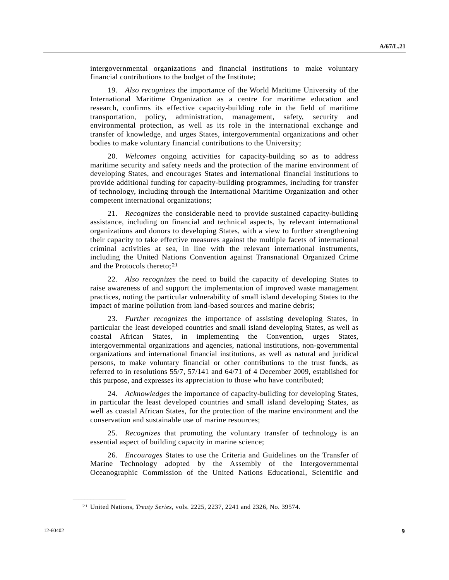intergovernmental organizations and financial institutions to make voluntary financial contributions to the budget of the Institute;

 19. *Also recognizes* the importance of the World Maritime University of the International Maritime Organization as a centre for maritime education and research, confirms its effective capacity-building role in the field of maritime transportation, policy, administration, management, safety, security and environmental protection, as well as its role in the international exchange and transfer of knowledge, and urges States, intergovernmental organizations and other bodies to make voluntary financial contributions to the University;

 20. *Welcomes* ongoing activities for capacity-building so as to address maritime security and safety needs and the protection of the marine environment of developing States, and encourages States and international financial institutions to provide additional funding for capacity-building programmes, including for transfer of technology, including through the International Maritime Organization and other competent international organizations;

 21. *Recognizes* the considerable need to provide sustained capacity-building assistance, including on financial and technical aspects, by relevant international organizations and donors to developing States, with a view to further strengthening their capacity to take effective measures against the multiple facets of international criminal activities at sea, in line with the relevant international instruments, including the United Nations Convention against Transnational Organized Crime and the Protocols thereto;<sup>[2](#page-8-0)1</sup>

 22. *Also recognizes* the need to build the capacity of developing States to raise awareness of and support the implementation of improved waste management practices, noting the particular vulnerability of small island developing States to the impact of marine pollution from land-based sources and marine debris;

 23. *Further recognizes* the importance of assisting developing States, in particular the least developed countries and small island developing States, as well as coastal African States, in implementing the Convention, urges States, intergovernmental organizations and agencies, national institutions, non-governmental organizations and international financial institutions, as well as natural and juridical persons, to make voluntary financial or other contributions to the trust funds, as referred to in resolutions 55/7, 57/141 and 64/71 of 4 December 2009, established for this purpose, and expresses its appreciation to those who have contributed;

 24. *Acknowledges* the importance of capacity-building for developing States, in particular the least developed countries and small island developing States, as well as coastal African States, for the protection of the marine environment and the conservation and sustainable use of marine resources;

 25. *Recognizes* that promoting the voluntary transfer of technology is an essential aspect of building capacity in marine science;

 26. *Encourages* States to use the Criteria and Guidelines on the Transfer of Marine Technology adopted by the Assembly of the Intergovernmental Oceanographic Commission of the United Nations Educational, Scientific and

<span id="page-8-0"></span><sup>21</sup> United Nations, *Treaty Series*, vols. 2225, 2237, 2241 and 2326, No. 39574.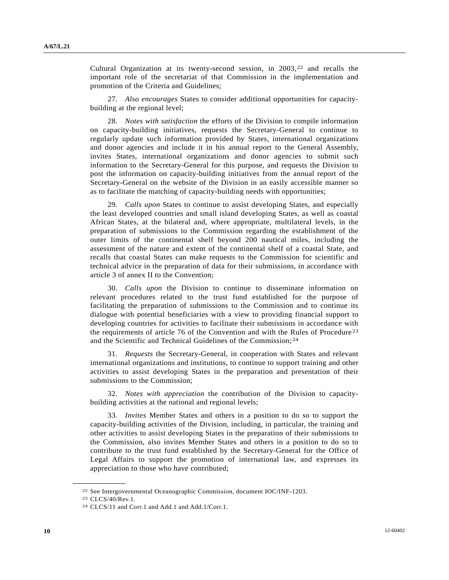Cultural Organization at its twenty-second session, in 2003,[2](#page-9-0)2 and recalls the important role of the secretariat of that Commission in the implementation and promotion of the Criteria and Guidelines;

 27. *Also encourages* States to consider additional opportunities for capacitybuilding at the regional level;

 28. *Notes with satisfaction* the efforts of the Division to compile information on capacity-building initiatives, requests the Secretary-General to continue to regularly update such information provided by States, international organizations and donor agencies and include it in his annual report to the General Assembly, invites States, international organizations and donor agencies to submit such information to the Secretary-General for this purpose, and requests the Division to post the information on capacity-building initiatives from the annual report of the Secretary-General on the website of the Division in an easily accessible manner so as to facilitate the matching of capacity-building needs with opportunities;

 29. *Calls upon* States to continue to assist developing States, and especially the least developed countries and small island developing States, as well as coastal African States, at the bilateral and, where appropriate, multilateral levels, in the preparation of submissions to the Commission regarding the establishment of the outer limits of the continental shelf beyond 200 nautical miles, including the assessment of the nature and extent of the continental shelf of a coastal State, and recalls that coastal States can make requests to the Commission for scientific and technical advice in the preparation of data for their submissions, in accordance with article 3 of annex II to the Convention;

 30. *Calls upon* the Division to continue to disseminate information on relevant procedures related to the trust fund established for the purpose of facilitating the preparation of submissions to the Commission and to continue its dialogue with potential beneficiaries with a view to providing financial support to developing countries for activities to facilitate their submissions in accordance with the requirements of article 76 of the Convention and with the Rules of Procedure[23](#page-9-1) and the Scientific and Technical Guidelines of the Commission;[24](#page-9-2)

 31. *Requests* the Secretary-General, in cooperation with States and relevant international organizations and institutions, to continue to support training and other activities to assist developing States in the preparation and presentation of their submissions to the Commission;

 32. *Notes with appreciation* the contribution of the Division to capacitybuilding activities at the national and regional levels;

 33. *Invites* Member States and others in a position to do so to support the capacity-building activities of the Division, including, in particular, the training and other activities to assist developing States in the preparation of their submissions to the Commission, also invites Member States and others in a position to do so to contribute to the trust fund established by the Secretary-General for the Office of Legal Affairs to support the promotion of international law, and expresses its appreciation to those who have contributed;

<span id="page-9-1"></span><span id="page-9-0"></span><sup>&</sup>lt;sup>22</sup> See Intergovernmental Oceanographic Commission, document IOC/INF-1203.<br><sup>23</sup> CLCS/40/Rev.1.

<span id="page-9-2"></span><sup>24</sup> CLCS/11 and Corr.1 and Add.1 and Add.1/Corr.1.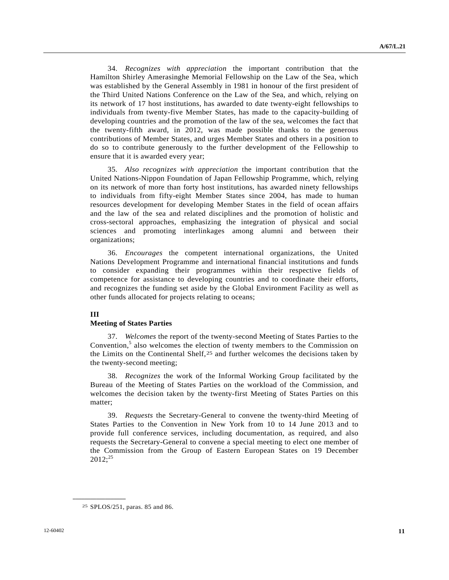34. *Recognizes with appreciation* the important contribution that the Hamilton Shirley Amerasinghe Memorial Fellowship on the Law of the Sea, which was established by the General Assembly in 1981 in honour of the first president of the Third United Nations Conference on the Law of the Sea, and which, relying on its network of 17 host institutions, has awarded to date twenty-eight fellowships to individuals from twenty-five Member States, has made to the capacity-building of developing countries and the promotion of the law of the sea, welcomes the fact that the twenty-fifth award, in 2012, was made possible thanks to the generous contributions of Member States, and urges Member States and others in a position to do so to contribute generously to the further development of the Fellowship to ensure that it is awarded every year;

 35. *Also recognizes with appreciation* the important contribution that the United Nations-Nippon Foundation of Japan Fellowship Programme, which, relying on its network of more than forty host institutions, has awarded ninety fellowships to individuals from fifty-eight Member States since 2004, has made to human resources development for developing Member States in the field of ocean affairs and the law of the sea and related disciplines and the promotion of holistic and cross-sectoral approaches, emphasizing the integration of physical and social sciences and promoting interlinkages among alumni and between their organizations;

 36. *Encourages* the competent international organizations, the United Nations Development Programme and international financial institutions and funds to consider expanding their programmes within their respective fields of competence for assistance to developing countries and to coordinate their efforts, and recognizes the funding set aside by the Global Environment Facility as well as other funds allocated for projects relating to oceans;

# **III**

### **Meeting of States Parties**

 37. *Welcomes* the report of the twenty-second Meeting of States Parties to the Convention,<sup>5</sup> also welcomes the election of twenty members to the Commission on the Limits on the Continental Shelf, $2<sup>5</sup>$  and further welcomes the decisions taken by the twenty-second meeting;

 38. *Recognizes* the work of the Informal Working Group facilitated by the Bureau of the Meeting of States Parties on the workload of the Commission, and welcomes the decision taken by the twenty-first Meeting of States Parties on this matter;

 39. *Requests* the Secretary-General to convene the twenty-third Meeting of States Parties to the Convention in New York from 10 to 14 June 2013 and to provide full conference services, including documentation, as required, and also requests the Secretary-General to convene a special meeting to elect one member of the Commission from the Group of Eastern European States on 19 December  $2012;^{25}$ 

<span id="page-10-0"></span><sup>25</sup> SPLOS/251, paras. 85 and 86.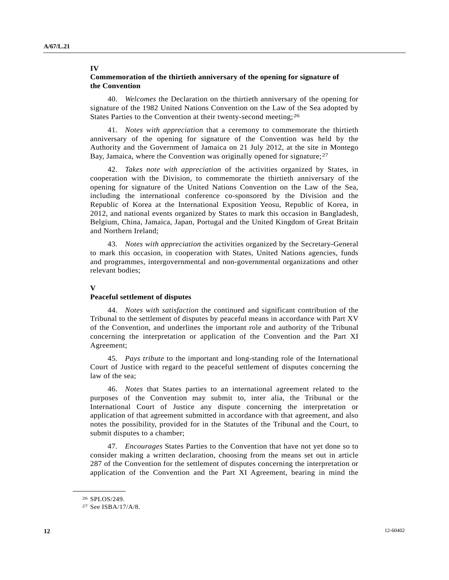# **IV**

# **Commemoration of the thirtieth anniversary of the opening for signature of the Convention**

 40. *Welcomes* the Declaration on the thirtieth anniversary of the opening for signature of the 1982 United Nations Convention on the Law of the Sea adopted by States Parties to the Convention at their twenty-second meeting;[26](#page-11-0)

 41. *Notes with appreciation* that a ceremony to commemorate the thirtieth anniversary of the opening for signature of the Convention was held by the Authority and the Government of Jamaica on 21 July 2012, at the site in Montego Bay, Jamaica, where the Convention was originally opened for signature;<sup>[2](#page-11-1)7</sup>

 42. *Takes note with appreciation* of the activities organized by States, in cooperation with the Division, to commemorate the thirtieth anniversary of the opening for signature of the United Nations Convention on the Law of the Sea, including the international conference co-sponsored by the Division and the Republic of Korea at the International Exposition Yeosu, Republic of Korea, in 2012, and national events organized by States to mark this occasion in Bangladesh, Belgium, China, Jamaica, Japan, Portugal and the United Kingdom of Great Britain and Northern Ireland;

 43. *Notes with appreciation* the activities organized by the Secretary-General to mark this occasion, in cooperation with States, United Nations agencies, funds and programmes, intergovernmental and non-governmental organizations and other relevant bodies;

### **V**

#### **Peaceful settlement of disputes**

 44. *Notes with satisfaction* the continued and significant contribution of the Tribunal to the settlement of disputes by peaceful means in accordance with Part XV of the Convention, and underlines the important role and authority of the Tribunal concerning the interpretation or application of the Convention and the Part XI Agreement;

 45. *Pays tribute* to the important and long-standing role of the International Court of Justice with regard to the peaceful settlement of disputes concerning the law of the sea;

 46. *Notes* that States parties to an international agreement related to the purposes of the Convention may submit to, inter alia, the Tribunal or the International Court of Justice any dispute concerning the interpretation or application of that agreement submitted in accordance with that agreement, and also notes the possibility, provided for in the Statutes of the Tribunal and the Court, to submit disputes to a chamber;

 47. *Encourages* States Parties to the Convention that have not yet done so to consider making a written declaration, choosing from the means set out in article 287 of the Convention for the settlement of disputes concerning the interpretation or application of the Convention and the Part XI Agreement, bearing in mind the

<span id="page-11-1"></span><span id="page-11-0"></span>**\_\_\_\_\_\_\_\_\_\_\_\_\_\_\_\_\_\_**  26 SPLOS/249.

<sup>27</sup> See ISBA/17/A/8.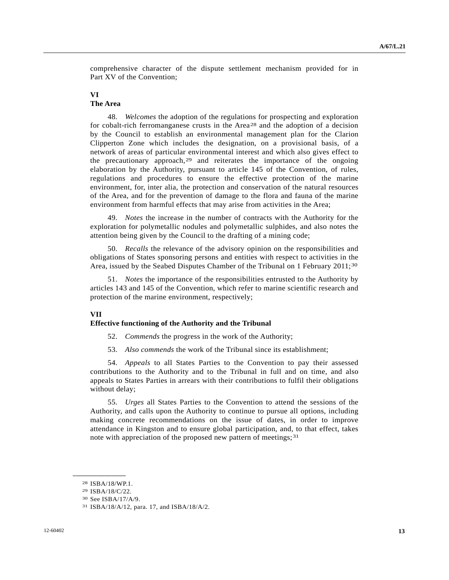comprehensive character of the dispute settlement mechanism provided for in Part XV of the Convention;

#### **VI The Area**

 48. *Welcomes* the adoption of the regulations for prospecting and exploration for cobalt-rich ferromanganese crusts in the Area[28](#page-12-0) and the adoption of a decision by the Council to establish an environmental management plan for the Clarion Clipperton Zone which includes the designation, on a provisional basis, of a network of areas of particular environmental interest and which also gives effect to the precautionary approach,[2](#page-12-1)9 and reiterates the importance of the ongoing elaboration by the Authority, pursuant to article 145 of the Convention, of rules, regulations and procedures to ensure the effective protection of the marine environment, for, inter alia, the protection and conservation of the natural resources of the Area, and for the prevention of damage to the flora and fauna of the marine environment from harmful effects that may arise from activities in the Area;

 49. *Notes* the increase in the number of contracts with the Authority for the exploration for polymetallic nodules and polymetallic sulphides, and also notes the attention being given by the Council to the drafting of a mining code;

 50. *Recalls* the relevance of the advisory opinion on the responsibilities and obligations of States sponsoring persons and entities with respect to activities in the Area, issued by the Seabed Disputes Chamber of the Tribunal on 1 February 2011;[3](#page-12-2)0

 51. *Notes* the importance of the responsibilities entrusted to the Authority by articles 143 and 145 of the Convention, which refer to marine scientific research and protection of the marine environment, respectively;

# **VII**

### **Effective functioning of the Authority and the Tribunal**

- 52. *Commends* the progress in the work of the Authority;
- 53. *Also commends* the work of the Tribunal since its establishment;

 54. *Appeals* to all States Parties to the Convention to pay their assessed contributions to the Authority and to the Tribunal in full and on time, and also appeals to States Parties in arrears with their contributions to fulfil their obligations without delay;

 55. *Urges* all States Parties to the Convention to attend the sessions of the Authority, and calls upon the Authority to continue to pursue all options, including making concrete recommendations on the issue of dates, in order to improve attendance in Kingston and to ensure global participation, and, to that effect, takes note with appreciation of the proposed new pattern of meetings;<sup>[31](#page-12-3)</sup>

<span id="page-12-3"></span><span id="page-12-2"></span><span id="page-12-1"></span><span id="page-12-0"></span>**\_\_\_\_\_\_\_\_\_\_\_\_\_\_\_\_\_\_**  28 ISBA/18/WP.1.

<sup>29</sup> ISBA/18/C/22.

<sup>30</sup> See ISBA/17/A/9.

<sup>31</sup> ISBA/18/A/12, para. 17, and ISBA/18/A/2.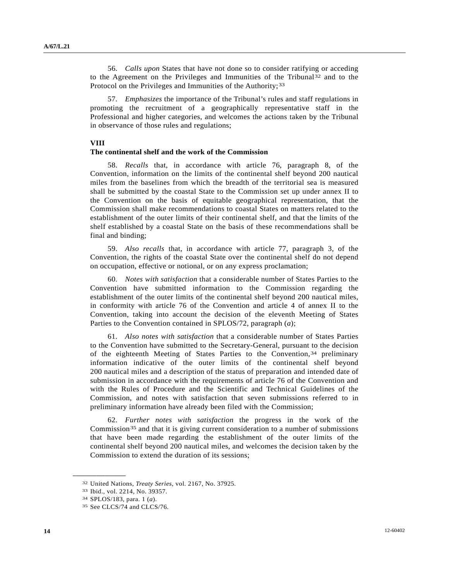56. *Calls upon* States that have not done so to consider ratifying or acceding to the Agreement on the Privileges and Immunities of the Tribunal[3](#page-13-0)2 and to the Protocol on the Privileges and Immunities of the Authority;<sup>[3](#page-13-1)3</sup>

 57. *Emphasizes* the importance of the Tribunal's rules and staff regulations in promoting the recruitment of a geographically representative staff in the Professional and higher categories, and welcomes the actions taken by the Tribunal in observance of those rules and regulations;

### **VIII**

#### **The continental shelf and the work of the Commission**

 58. *Recalls* that, in accordance with article 76, paragraph 8, of the Convention, information on the limits of the continental shelf beyond 200 nautical miles from the baselines from which the breadth of the territorial sea is measured shall be submitted by the coastal State to the Commission set up under annex II to the Convention on the basis of equitable geographical representation, that the Commission shall make recommendations to coastal States on matters related to the establishment of the outer limits of their continental shelf, and that the limits of the shelf established by a coastal State on the basis of these recommendations shall be final and binding;

 59. *Also recalls* that, in accordance with article 77, paragraph 3, of the Convention, the rights of the coastal State over the continental shelf do not depend on occupation, effective or notional, or on any express proclamation;

 60. *Notes with satisfaction* that a considerable number of States Parties to the Convention have submitted information to the Commission regarding the establishment of the outer limits of the continental shelf beyond 200 nautical miles, in conformity with article 76 of the Convention and article 4 of annex II to the Convention, taking into account the decision of the eleventh Meeting of States Parties to the Convention contained in SPLOS/72, paragraph (*a*);

 61. *Also notes with satisfaction* that a considerable number of States Parties to the Convention have submitted to the Secretary-General, pursuant to the decision of the eighteenth Meeting of States Parties to the Convention,<sup>[34](#page-13-2)</sup> preliminary information indicative of the outer limits of the continental shelf beyond 200 nautical miles and a description of the status of preparation and intended date of submission in accordance with the requirements of article 76 of the Convention and with the Rules of Procedure and the Scientific and Technical Guidelines of the Commission, and notes with satisfaction that seven submissions referred to in preliminary information have already been filed with the Commission;

 62. *Further notes with satisfaction* the progress in the work of the Commission<sup>[35](#page-13-3)</sup> and that it is giving current consideration to a number of submissions that have been made regarding the establishment of the outer limits of the continental shelf beyond 200 nautical miles, and welcomes the decision taken by the Commission to extend the duration of its sessions;

<span id="page-13-0"></span><sup>32</sup> United Nations, *Treaty Series*, vol. 2167, No. 37925. 33 Ibid., vol. 2214, No. 39357.

<span id="page-13-1"></span>

<span id="page-13-3"></span><span id="page-13-2"></span><sup>34</sup> SPLOS/183, para. 1 (*a*). 35 See CLCS/74 and CLCS/76.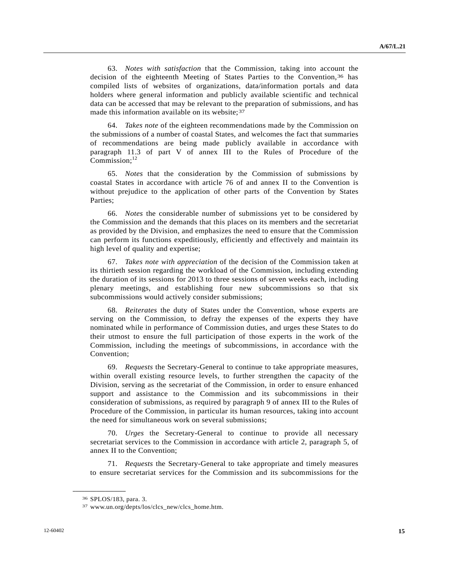63. *Notes with satisfaction* that the Commission, taking into account the decision of the eighteenth Meeting of States Parties to the Convention,[3](#page-14-0)6 has compiled lists of websites of organizations, data/information portals and data holders where general information and publicly available scientific and technical data can be accessed that may be relevant to the preparation of submissions, and has made this information available on its website;<sup>[37](#page-14-1)</sup>

 64. *Takes note* of the eighteen recommendations made by the Commission on the submissions of a number of coastal States, and welcomes the fact that summaries of recommendations are being made publicly available in accordance with paragraph 11.3 of part V of annex III to the Rules of Procedure of the Commission: $12$ 

 65. *Notes* that the consideration by the Commission of submissions by coastal States in accordance with article 76 of and annex II to the Convention is without prejudice to the application of other parts of the Convention by States Parties;

 66. *Notes* the considerable number of submissions yet to be considered by the Commission and the demands that this places on its members and the secretariat as provided by the Division, and emphasizes the need to ensure that the Commission can perform its functions expeditiously, efficiently and effectively and maintain its high level of quality and expertise;

 67. *Takes note with appreciation* of the decision of the Commission taken at its thirtieth session regarding the workload of the Commission, including extending the duration of its sessions for 2013 to three sessions of seven weeks each, including plenary meetings, and establishing four new subcommissions so that six subcommissions would actively consider submissions;

 68. *Reiterates* the duty of States under the Convention, whose experts are serving on the Commission, to defray the expenses of the experts they have nominated while in performance of Commission duties, and urges these States to do their utmost to ensure the full participation of those experts in the work of the Commission, including the meetings of subcommissions, in accordance with the Convention;

 69. *Requests* the Secretary-General to continue to take appropriate measures, within overall existing resource levels, to further strengthen the capacity of the Division, serving as the secretariat of the Commission, in order to ensure enhanced support and assistance to the Commission and its subcommissions in their consideration of submissions, as required by paragraph 9 of annex III to the Rules of Procedure of the Commission, in particular its human resources, taking into account the need for simultaneous work on several submissions;

 70. *Urges* the Secretary-General to continue to provide all necessary secretariat services to the Commission in accordance with article 2, paragraph 5, of annex II to the Convention;

 71. *Requests* the Secretary-General to take appropriate and timely measures to ensure secretariat services for the Commission and its subcommissions for the

<span id="page-14-0"></span><sup>36</sup> SPLOS/183, para. 3.

<span id="page-14-1"></span><sup>37</sup> www.un.org/depts/los/clcs\_new/clcs\_home.htm.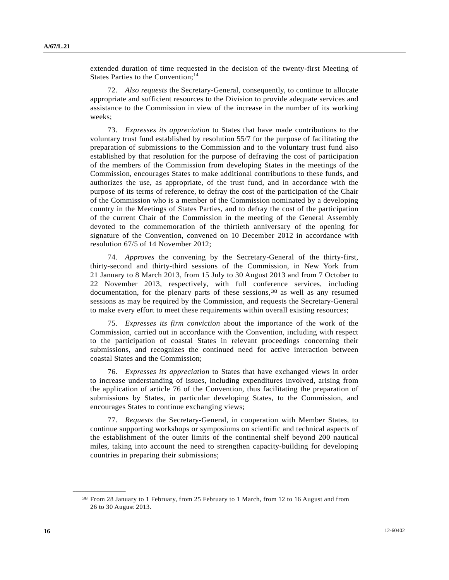extended duration of time requested in the decision of the twenty-first Meeting of States Parties to the Convention:<sup>14</sup>

 72. *Also requests* the Secretary-General, consequently, to continue to allocate appropriate and sufficient resources to the Division to provide adequate services and assistance to the Commission in view of the increase in the number of its working weeks;

 73. *Expresses its appreciation* to States that have made contributions to the voluntary trust fund established by resolution 55/7 for the purpose of facilitating the preparation of submissions to the Commission and to the voluntary trust fund also established by that resolution for the purpose of defraying the cost of participation of the members of the Commission from developing States in the meetings of the Commission, encourages States to make additional contributions to these funds, and authorizes the use, as appropriate, of the trust fund, and in accordance with the purpose of its terms of reference, to defray the cost of the participation of the Chair of the Commission who is a member of the Commission nominated by a developing country in the Meetings of States Parties, and to defray the cost of the participation of the current Chair of the Commission in the meeting of the General Assembly devoted to the commemoration of the thirtieth anniversary of the opening for signature of the Convention, convened on 10 December 2012 in accordance with resolution 67/5 of 14 November 2012;

 74. *Approves* the convening by the Secretary-General of the thirty-first, thirty-second and thirty-third sessions of the Commission, in New York from 21 January to 8 March 2013, from 15 July to 30 August 2013 and from 7 October to 22 November 2013, respectively, with full conference services, including documentation, for the plenary parts of these sessions,[38](#page-15-0) as well as any resumed sessions as may be required by the Commission, and requests the Secretary-General to make every effort to meet these requirements within overall existing resources;

 75. *Expresses its firm conviction* about the importance of the work of the Commission, carried out in accordance with the Convention, including with respect to the participation of coastal States in relevant proceedings concerning their submissions, and recognizes the continued need for active interaction between coastal States and the Commission;

 76. *Expresses its appreciation* to States that have exchanged views in order to increase understanding of issues, including expenditures involved, arising from the application of article 76 of the Convention, thus facilitating the preparation of submissions by States, in particular developing States, to the Commission, and encourages States to continue exchanging views;

 77. *Requests* the Secretary-General, in cooperation with Member States, to continue supporting workshops or symposiums on scientific and technical aspects of the establishment of the outer limits of the continental shelf beyond 200 nautical miles, taking into account the need to strengthen capacity-building for developing countries in preparing their submissions;

<span id="page-15-0"></span><sup>38</sup> From 28 January to 1 February, from 25 February to 1 March, from 12 to 16 August and from 26 to 30 August 2013.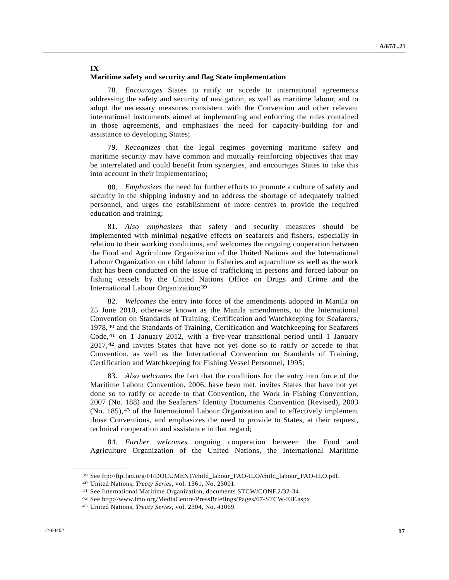# **Maritime safety and security and flag State implementation**

 **IX** 

 78. *Encourages* States to ratify or accede to international agreements addressing the safety and security of navigation, as well as maritime labour, and to adopt the necessary measures consistent with the Convention and other relevant international instruments aimed at implementing and enforcing the rules contained in those agreements, and emphasizes the need for capacity-building for and assistance to developing States;

 79. *Recognizes* that the legal regimes governing maritime safety and maritime security may have common and mutually reinforcing objectives that may be interrelated and could benefit from synergies, and encourages States to take this into account in their implementation;

 80. *Emphasizes* the need for further efforts to promote a culture of safety and security in the shipping industry and to address the shortage of adequately trained personnel, and urges the establishment of more centres to provide the required education and training;

 81. *Also emphasizes* that safety and security measures should be implemented with minimal negative effects on seafarers and fishers, especially in relation to their working conditions, and welcomes the ongoing cooperation between the Food and Agriculture Organization of the United Nations and the International Labour Organization on child labour in fisheries and aquaculture as well as the work that has been conducted on the issue of trafficking in persons and forced labour on fishing vessels by the United Nations Office on Drugs and Crime and the International Labour Organization;[3](#page-16-0)9

 82. *Welcomes* the entry into force of the amendments adopted in Manila on 25 June 2010, otherwise known as the Manila amendments, to the International Convention on Standards of Training, Certification and Watchkeeping for Seafarers, 1978,[40](#page-16-1) and the Standards of Training, Certification and Watchkeeping for Seafarers Code,[4](#page-16-2)1 on 1 January 2012, with a five-year transitional period until 1 January  $2017<sup>42</sup>$  $2017<sup>42</sup>$  $2017<sup>42</sup>$  and invites States that have not yet done so to ratify or accede to that Convention, as well as the International Convention on Standards of Training, Certification and Watchkeeping for Fishing Vessel Personnel, 1995;

 83. *Also welcomes* the fact that the conditions for the entry into force of the Maritime Labour Convention, 2006, have been met, invites States that have not yet done so to ratify or accede to that Convention, the Work in Fishing Convention, 2007 (No. 188) and the Seafarers' Identity Documents Convention (Revised), 2003 (No. 185),[4](#page-16-4)3 of the International Labour Organization and to effectively implement those Conventions, and emphasizes the need to provide to States, at their request, technical cooperation and assistance in that regard;

 84. *Further welcomes* ongoing cooperation between the Food and Agriculture Organization of the United Nations, the International Maritime

<span id="page-16-2"></span><span id="page-16-1"></span><span id="page-16-0"></span><sup>&</sup>lt;sup>39</sup> See ftp://ftp.fao.org/FI/DOCUMENT/child\_labour\_FAO-ILO/child\_labour\_FAO-ILO.pdf.<br><sup>40</sup> United Nations, *Treaty Series*, vol. 1361, No. 23001.<br><sup>41</sup> See International Maritime Organization, documents STCW/CONF.2/32-34.<br><sup></sup>

<span id="page-16-4"></span><span id="page-16-3"></span><sup>43</sup> United Nations, *Treaty Series*, vol. 2304, No. 41069.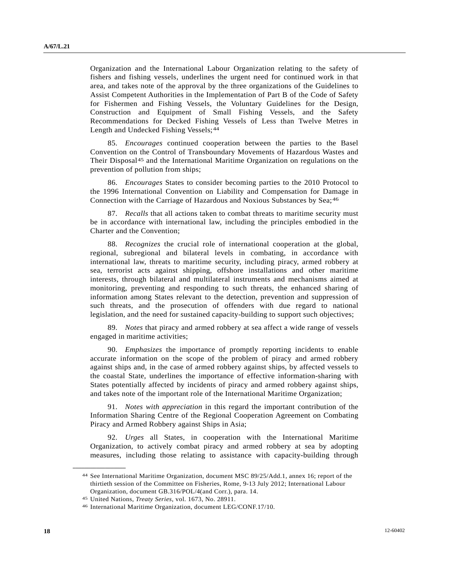Organization and the International Labour Organization relating to the safety of fishers and fishing vessels, underlines the urgent need for continued work in that area, and takes note of the approval by the three organizations of the Guidelines to Assist Competent Authorities in the Implementation of Part B of the Code of Safety for Fishermen and Fishing Vessels, the Voluntary Guidelines for the Design, Construction and Equipment of Small Fishing Vessels, and the Safety Recommendations for Decked Fishing Vessels of Less than Twelve Metres in Length and Undecked Fishing Vessels;<sup>[44](#page-17-0)</sup>

 85. *Encourages* continued cooperation between the parties to the Basel Convention on the Control of Transboundary Movements of Hazardous Wastes and Their Disposal[4](#page-17-1)5 and the International Maritime Organization on regulations on the prevention of pollution from ships;

 86. *Encourages* States to consider becoming parties to the 2010 Protocol to the 1996 International Convention on Liability and Compensation for Damage in Connection with the Carriage of Hazardous and Noxious Substances by Sea;<sup>[46](#page-17-2)</sup>

 87. *Recalls* that all actions taken to combat threats to maritime security must be in accordance with international law, including the principles embodied in the Charter and the Convention;

 88. *Recognizes* the crucial role of international cooperation at the global, regional, subregional and bilateral levels in combating, in accordance with international law, threats to maritime security, including piracy, armed robbery at sea, terrorist acts against shipping, offshore installations and other maritime interests, through bilateral and multilateral instruments and mechanisms aimed at monitoring, preventing and responding to such threats, the enhanced sharing of information among States relevant to the detection, prevention and suppression of such threats, and the prosecution of offenders with due regard to national legislation, and the need for sustained capacity-building to support such objectives;

 89. *Notes* that piracy and armed robbery at sea affect a wide range of vessels engaged in maritime activities;

 90. *Emphasizes* the importance of promptly reporting incidents to enable accurate information on the scope of the problem of piracy and armed robbery against ships and, in the case of armed robbery against ships, by affected vessels to the coastal State, underlines the importance of effective information-sharing with States potentially affected by incidents of piracy and armed robbery against ships, and takes note of the important role of the International Maritime Organization;

 91. *Notes with appreciation* in this regard the important contribution of the Information Sharing Centre of the Regional Cooperation Agreement on Combating Piracy and Armed Robbery against Ships in Asia;

 92. *Urges* all States, in cooperation with the International Maritime Organization, to actively combat piracy and armed robbery at sea by adopting measures, including those relating to assistance with capacity-building through

<span id="page-17-0"></span><sup>44</sup> See International Maritime Organization, document MSC 89/25/Add.1, annex 16; report of the thirtieth session of the Committee on Fisheries, Rome, 9-13 July 2012; International Labour Organization, document GB.316/POL/4(and Corr.), para. 14.

<span id="page-17-2"></span><span id="page-17-1"></span><sup>45</sup> United Nations, *Treaty Series*, vol. 1673, No. 28911. 46 International Maritime Organization, document LEG/CONF.17/10.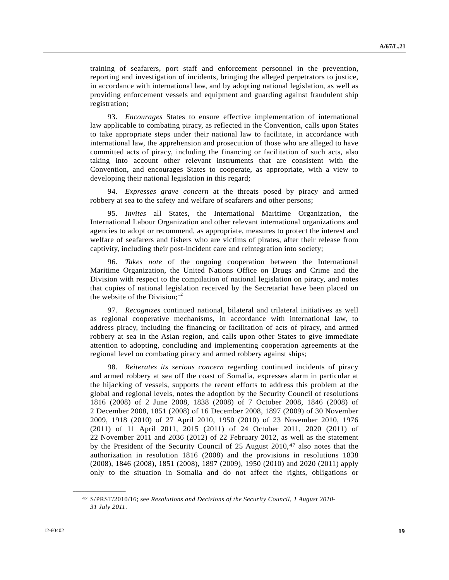training of seafarers, port staff and enforcement personnel in the prevention, reporting and investigation of incidents, bringing the alleged perpetrators to justice, in accordance with international law, and by adopting national legislation, as well as providing enforcement vessels and equipment and guarding against fraudulent ship registration;

 93. *Encourages* States to ensure effective implementation of international law applicable to combating piracy, as reflected in the Convention, calls upon States to take appropriate steps under their national law to facilitate, in accordance with international law, the apprehension and prosecution of those who are alleged to have committed acts of piracy, including the financing or facilitation of such acts, also taking into account other relevant instruments that are consistent with the Convention, and encourages States to cooperate, as appropriate, with a view to developing their national legislation in this regard;

 94. *Expresses grave concern* at the threats posed by piracy and armed robbery at sea to the safety and welfare of seafarers and other persons;

 95. *Invites* all States, the International Maritime Organization, the International Labour Organization and other relevant international organizations and agencies to adopt or recommend, as appropriate, measures to protect the interest and welfare of seafarers and fishers who are victims of pirates, after their release from captivity, including their post-incident care and reintegration into society;

 96. *Takes note* of the ongoing cooperation between the International Maritime Organization, the United Nations Office on Drugs and Crime and the Division with respect to the compilation of national legislation on piracy, and notes that copies of national legislation received by the Secretariat have been placed on the website of the Division; $^{12}$ 

 97. *Recognizes* continued national, bilateral and trilateral initiatives as well as regional cooperative mechanisms, in accordance with international law, to address piracy, including the financing or facilitation of acts of piracy, and armed robbery at sea in the Asian region, and calls upon other States to give immediate attention to adopting, concluding and implementing cooperation agreements at the regional level on combating piracy and armed robbery against ships;

 98. *Reiterates its serious concern* regarding continued incidents of piracy and armed robbery at sea off the coast of Somalia, expresses alarm in particular at the hijacking of vessels, supports the recent efforts to address this problem at the global and regional levels, notes the adoption by the Security Council of resolutions 1816 (2008) of 2 June 2008, 1838 (2008) of 7 October 2008, 1846 (2008) of 2 December 2008, 1851 (2008) of 16 December 2008, 1897 (2009) of 30 November 2009, 1918 (2010) of 27 April 2010, 1950 (2010) of 23 November 2010, 1976 (2011) of 11 April 2011, 2015 (2011) of 24 October 2011, 2020 (2011) of 22 November 2011 and 2036 (2012) of 22 February 2012, as well as the statement by the President of the Security Council of 25 August 2010,[47](#page-18-0) also notes that the authorization in resolution 1816 (2008) and the provisions in resolutions 1838 (2008), 1846 (2008), 1851 (2008), 1897 (2009), 1950 (2010) and 2020 (2011) apply only to the situation in Somalia and do not affect the rights, obligations or

<span id="page-18-0"></span><sup>47</sup> S/PRST/2010/16; see *Resolutions and Decisions of the Security Council, 1 August 2010- 31 July 2011*.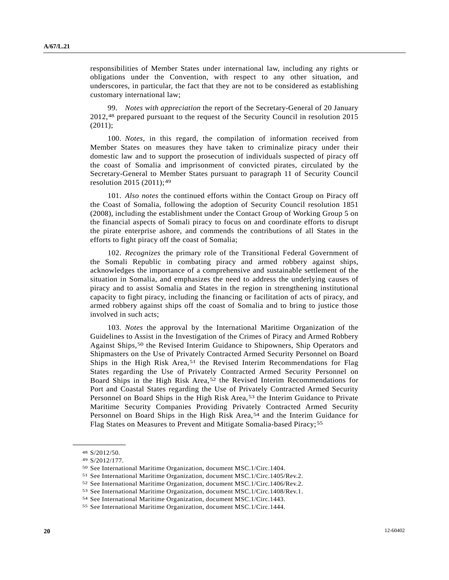responsibilities of Member States under international law, including any rights or obligations under the Convention, with respect to any other situation, and underscores, in particular, the fact that they are not to be considered as establishing customary international law;

 99. *Notes with appreciation* the report of the Secretary-General of 20 January 2012,[48](#page-19-0) prepared pursuant to the request of the Security Council in resolution 2015 (2011);

 100. *Notes*, in this regard, the compilation of information received from Member States on measures they have taken to criminalize piracy under their domestic law and to support the prosecution of individuals suspected of piracy off the coast of Somalia and imprisonment of convicted pirates, circulated by the Secretary-General to Member States pursuant to paragraph 11 of Security Council resolution 2015 (2011);[4](#page-19-1)9

 101. *Also notes* the continued efforts within the Contact Group on Piracy off the Coast of Somalia, following the adoption of Security Council resolution 1851 (2008), including the establishment under the Contact Group of Working Group 5 on the financial aspects of Somali piracy to focus on and coordinate efforts to disrupt the pirate enterprise ashore, and commends the contributions of all States in the efforts to fight piracy off the coast of Somalia;

 102. *Recognizes* the primary role of the Transitional Federal Government of the Somali Republic in combating piracy and armed robbery against ships, acknowledges the importance of a comprehensive and sustainable settlement of the situation in Somalia, and emphasizes the need to address the underlying causes of piracy and to assist Somalia and States in the region in strengthening institutional capacity to fight piracy, including the financing or facilitation of acts of piracy, and armed robbery against ships off the coast of Somalia and to bring to justice those involved in such acts;

 103. *Notes* the approval by the International Maritime Organization of the Guidelines to Assist in the Investigation of the Crimes of Piracy and Armed Robbery Against Ships,[50](#page-19-2) the Revised Interim Guidance to Shipowners, Ship Operators and Shipmasters on the Use of Privately Contracted Armed Security Personnel on Board Ships in the High Risk Area,  $51$  the Revised Interim Recommendations for Flag States regarding the Use of Privately Contracted Armed Security Personnel on Board Ships in the High Risk Area,[5](#page-19-4)2 the Revised Interim Recommendations for Port and Coastal States regarding the Use of Privately Contracted Armed Security Personnel on Board Ships in the High Risk Area,<sup>[5](#page-19-5)3</sup> the Interim Guidance to Private Maritime Security Companies Providing Privately Contracted Armed Security Personnel on Board Ships in the High Risk Area,[54](#page-19-6) and the Interim Guidance for Flag States on Measures to Prevent and Mitigate Somalia-based Piracy;[5](#page-19-7)5

<span id="page-19-3"></span><span id="page-19-2"></span><span id="page-19-1"></span><span id="page-19-0"></span>**\_\_\_\_\_\_\_\_\_\_\_\_\_\_\_\_\_\_**  48 S/2012/50.

<sup>49</sup> S/2012/177.

<span id="page-19-4"></span><sup>&</sup>lt;sup>50</sup> See International Maritime Organization, document MSC.1/Circ.1404.<br><sup>51</sup> See International Maritime Organization, document MSC.1/Circ.1405/Rev.2.<br><sup>52</sup> See International Maritime Organization, document MSC.1/Circ.1406/R

<span id="page-19-7"></span><span id="page-19-6"></span><span id="page-19-5"></span>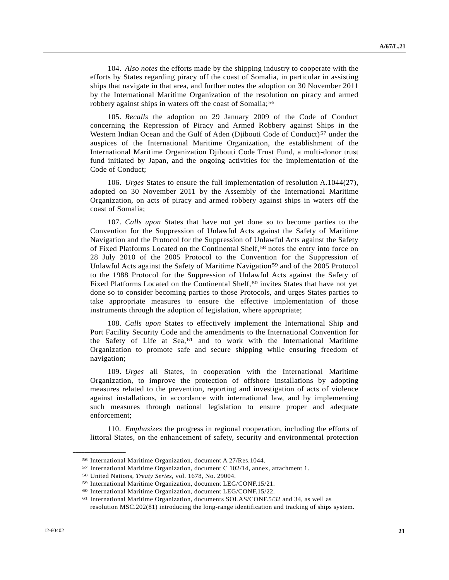104. *Also notes* the efforts made by the shipping industry to cooperate with the efforts by States regarding piracy off the coast of Somalia, in particular in assisting ships that navigate in that area, and further notes the adoption on 30 November 2011 by the International Maritime Organization of the resolution on piracy and armed robbery against ships in waters off the coast of Somalia;<sup>[5](#page-20-0)6</sup>

 105. *Recalls* the adoption on 29 January 2009 of the Code of Conduct concerning the Repression of Piracy and Armed Robbery against Ships in the Western Indian Ocean and the Gulf of Aden (Djibouti Code of Conduct)<sup>[5](#page-20-1)7</sup> under the auspices of the International Maritime Organization, the establishment of the International Maritime Organization Djibouti Code Trust Fund, a multi-donor trust fund initiated by Japan, and the ongoing activities for the implementation of the Code of Conduct;

 106. *Urges* States to ensure the full implementation of resolution A.1044(27), adopted on 30 November 2011 by the Assembly of the International Maritime Organization, on acts of piracy and armed robbery against ships in waters off the coast of Somalia;

 107. *Calls upon* States that have not yet done so to become parties to the Convention for the Suppression of Unlawful Acts against the Safety of Maritime Navigation and the Protocol for the Suppression of Unlawful Acts against the Safety of Fixed Platforms Located on the Continental Shelf,[58](#page-20-2) notes the entry into force on 28 July 2010 of the 2005 Protocol to the Convention for the Suppression of Unlawful Acts against the Safety of Maritime Navigation<sup>[59](#page-20-3)</sup> and of the 2005 Protocol to the 1988 Protocol for the Suppression of Unlawful Acts against the Safety of Fixed Platforms Located on the Continental Shelf,<sup>[6](#page-20-4)0</sup> invites States that have not yet done so to consider becoming parties to those Protocols, and urges States parties to take appropriate measures to ensure the effective implementation of those instruments through the adoption of legislation, where appropriate;

 108. *Calls upon* States to effectively implement the International Ship and Port Facility Security Code and the amendments to the International Convention for the Safety of Life at Sea, $61$  and to work with the International Maritime Organization to promote safe and secure shipping while ensuring freedom of navigation;

 109. *Urges* all States, in cooperation with the International Maritime Organization, to improve the protection of offshore installations by adopting measures related to the prevention, reporting and investigation of acts of violence against installations, in accordance with international law, and by implementing such measures through national legislation to ensure proper and adequate enforcement;

 110. *Emphasizes* the progress in regional cooperation, including the efforts of littoral States, on the enhancement of safety, security and environmental protection

<span id="page-20-5"></span><span id="page-20-4"></span><span id="page-20-3"></span>

<span id="page-20-2"></span><span id="page-20-1"></span><span id="page-20-0"></span><sup>&</sup>lt;sup>56</sup> International Maritime Organization, document A 27/Res.1044.<br><sup>57</sup> International Maritime Organization, document C 102/14, annex, attachment 1.<br><sup>58</sup> United Nations, *Treaty Series*, vol. 1678, No. 29004.<br><sup>59</sup> Internati resolution MSC.202(81) introducing the long-range identification and tracking of ships system.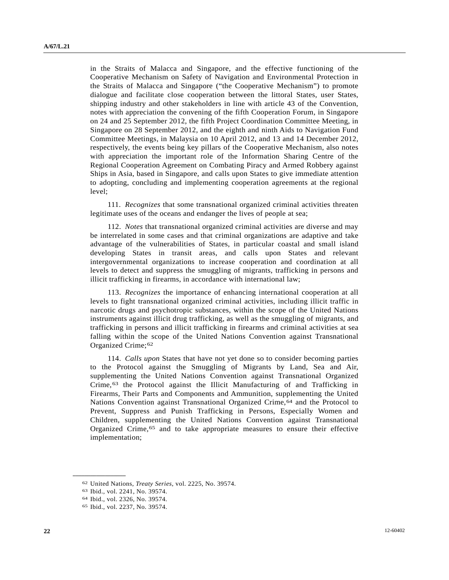in the Straits of Malacca and Singapore, and the effective functioning of the Cooperative Mechanism on Safety of Navigation and Environmental Protection in the Straits of Malacca and Singapore ("the Cooperative Mechanism") to promote dialogue and facilitate close cooperation between the littoral States, user States, shipping industry and other stakeholders in line with article 43 of the Convention, notes with appreciation the convening of the fifth Cooperation Forum, in Singapore on 24 and 25 September 2012, the fifth Project Coordination Committee Meeting, in Singapore on 28 September 2012, and the eighth and ninth Aids to Navigation Fund Committee Meetings, in Malaysia on 10 April 2012, and 13 and 14 December 2012, respectively, the events being key pillars of the Cooperative Mechanism, also notes with appreciation the important role of the Information Sharing Centre of the Regional Cooperation Agreement on Combating Piracy and Armed Robbery against Ships in Asia, based in Singapore, and calls upon States to give immediate attention to adopting, concluding and implementing cooperation agreements at the regional level;

 111. *Recognizes* that some transnational organized criminal activities threaten legitimate uses of the oceans and endanger the lives of people at sea;

 112. *Notes* that transnational organized criminal activities are diverse and may be interrelated in some cases and that criminal organizations are adaptive and take advantage of the vulnerabilities of States, in particular coastal and small island developing States in transit areas, and calls upon States and relevant intergovernmental organizations to increase cooperation and coordination at all levels to detect and suppress the smuggling of migrants, trafficking in persons and illicit trafficking in firearms, in accordance with international law;

 113. *Recognizes* the importance of enhancing international cooperation at all levels to fight transnational organized criminal activities, including illicit traffic in narcotic drugs and psychotropic substances, within the scope of the United Nations instruments against illicit drug trafficking, as well as the smuggling of migrants, and trafficking in persons and illicit trafficking in firearms and criminal activities at sea falling within the scope of the United Nations Convention against Transnational Organized Crime;[62](#page-21-0)

 114. *Calls upon* States that have not yet done so to consider becoming parties to the Protocol against the Smuggling of Migrants by Land, Sea and Air, supplementing the United Nations Convention against Transnational Organized Crime,[6](#page-21-1)3 the Protocol against the Illicit Manufacturing of and Trafficking in Firearms, Their Parts and Components and Ammunition, supplementing the United Nations Convention against Transnational Organized Crime,<sup>[64](#page-21-2)</sup> and the Protocol to Prevent, Suppress and Punish Trafficking in Persons, Especially Women and Children, supplementing the United Nations Convention against Transnational Organized Crime,[65](#page-21-3) and to take appropriate measures to ensure their effective implementation;

<span id="page-21-1"></span><span id="page-21-0"></span><sup>62</sup> United Nations, *Treaty Series*, vol. 2225, No. 39574. 63 Ibid., vol. 2241, No. 39574.

<span id="page-21-2"></span><sup>64</sup> Ibid., vol. 2326, No. 39574.

<span id="page-21-3"></span><sup>65</sup> Ibid., vol. 2237, No. 39574.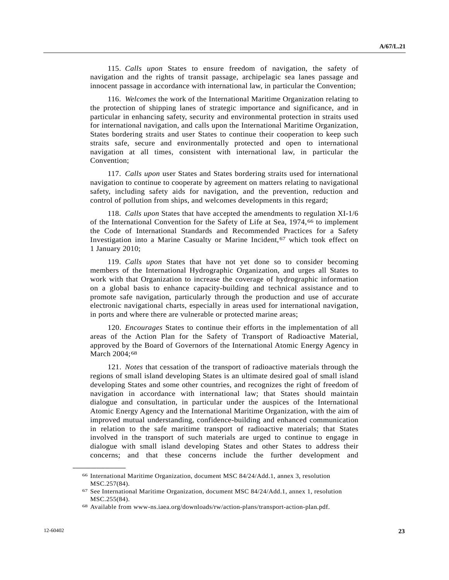115. *Calls upon* States to ensure freedom of navigation, the safety of navigation and the rights of transit passage, archipelagic sea lanes passage and innocent passage in accordance with international law, in particular the Convention;

 116. *Welcomes* the work of the International Maritime Organization relating to the protection of shipping lanes of strategic importance and significance, and in particular in enhancing safety, security and environmental protection in straits used for international navigation, and calls upon the International Maritime Organization, States bordering straits and user States to continue their cooperation to keep such straits safe, secure and environmentally protected and open to international navigation at all times, consistent with international law, in particular the Convention;

 117. *Calls upon* user States and States bordering straits used for international navigation to continue to cooperate by agreement on matters relating to navigational safety, including safety aids for navigation, and the prevention, reduction and control of pollution from ships, and welcomes developments in this regard;

 118. *Calls upon* States that have accepted the amendments to regulation XI-1/6 of the International Convention for the Safety of Life at Sea, 1974,[6](#page-22-0)6 to implement the Code of International Standards and Recommended Practices for a Safety Investigation into a Marine Casualty or Marine Incident, $67$  $67$  which took effect on 1 January 2010;

 119. *Calls upon* States that have not yet done so to consider becoming members of the International Hydrographic Organization, and urges all States to work with that Organization to increase the coverage of hydrographic information on a global basis to enhance capacity-building and technical assistance and to promote safe navigation, particularly through the production and use of accurate electronic navigational charts, especially in areas used for international navigation, in ports and where there are vulnerable or protected marine areas;

 120. *Encourages* States to continue their efforts in the implementation of all areas of the Action Plan for the Safety of Transport of Radioactive Material, approved by the Board of Governors of the International Atomic Energy Agency in March 2004;<sup>[68](#page-22-2)</sup>

 121. *Notes* that cessation of the transport of radioactive materials through the regions of small island developing States is an ultimate desired goal of small island developing States and some other countries, and recognizes the right of freedom of navigation in accordance with international law; that States should maintain dialogue and consultation, in particular under the auspices of the International Atomic Energy Agency and the International Maritime Organization, with the aim of improved mutual understanding, confidence-building and enhanced communication in relation to the safe maritime transport of radioactive materials; that States involved in the transport of such materials are urged to continue to engage in dialogue with small island developing States and other States to address their concerns; and that these concerns include the further development and

<span id="page-22-0"></span><sup>66</sup> International Maritime Organization, document MSC 84/24/Add.1, annex 3, resolution MSC.257(84).

<span id="page-22-1"></span><sup>67</sup> See International Maritime Organization, document MSC 84/24/Add.1, annex 1, resolution MSC.255(84).

<span id="page-22-2"></span><sup>68</sup> Available from www-ns.iaea.org/downloads/rw/action-plans/transport-action-plan.pdf.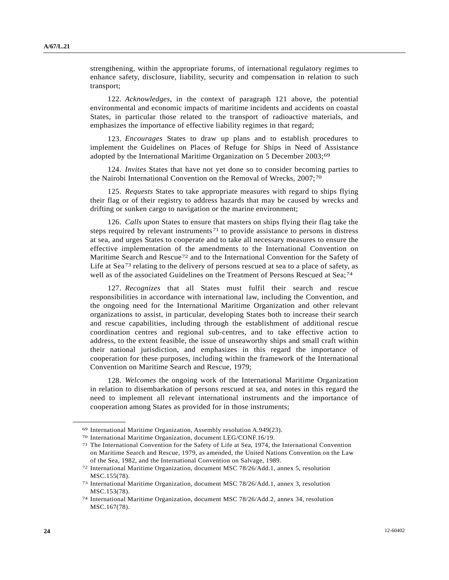strengthening, within the appropriate forums, of international regulatory regimes to enhance safety, disclosure, liability, security and compensation in relation to such transport;

 122. *Acknowledges*, in the context of paragraph 121 above, the potential environmental and economic impacts of maritime incidents and accidents on coastal States, in particular those related to the transport of radioactive materials, and emphasizes the importance of effective liability regimes in that regard;

 123. *Encourages* States to draw up plans and to establish procedures to implement the Guidelines on Places of Refuge for Ships in Need of Assistance adopted by the International Maritime Organization on 5 December 2003;<sup>[6](#page-23-0)9</sup>

 124. *Invites* States that have not yet done so to consider becoming parties to the Nairobi International Convention on the Removal of Wrecks, 2007;[70](#page-23-1)

 125. *Requests* States to take appropriate measures with regard to ships flying their flag or of their registry to address hazards that may be caused by wrecks and drifting or sunken cargo to navigation or the marine environment;

 126. *Calls upon* States to ensure that masters on ships flying their flag take the steps required by relevant instruments<sup>[7](#page-23-2)1</sup> to provide assistance to persons in distress at sea, and urges States to cooperate and to take all necessary measures to ensure the effective implementation of the amendments to the International Convention on Maritime Search and Rescue<sup>[7](#page-23-3)2</sup> and to the International Convention for the Safety of Life at Sea<sup>[73](#page-23-4)</sup> relating to the delivery of persons rescued at sea to a place of safety, as well as of the associated Guidelines on the Treatment of Persons Rescued at Sea;<sup>[74](#page-23-5)</sup>

 127. *Recognizes* that all States must fulfil their search and rescue responsibilities in accordance with international law, including the Convention, and the ongoing need for the International Maritime Organization and other relevant organizations to assist, in particular, developing States both to increase their search and rescue capabilities, including through the establishment of additional rescue coordination centres and regional sub-centres, and to take effective action to address, to the extent feasible, the issue of unseaworthy ships and small craft within their national jurisdiction, and emphasizes in this regard the importance of cooperation for these purposes, including within the framework of the International Convention on Maritime Search and Rescue, 1979;

 128. *Welcomes* the ongoing work of the International Maritime Organization in relation to disembarkation of persons rescued at sea, and notes in this regard the need to implement all relevant international instruments and the importance of cooperation among States as provided for in those instruments;

<span id="page-23-2"></span><span id="page-23-1"></span><span id="page-23-0"></span>

<sup>&</sup>lt;sup>69</sup> International Maritime Organization, Assembly resolution  $A.949(23)$ .<br><sup>70</sup> International Maritime Organization, document LEG/CONF.16/19.<br><sup>71</sup> The International Convention for the Safety of Life at Sea, 1974, the Inte on Maritime Search and Rescue, 1979, as amended, the United Nations Convention on the Law of the Sea, 1982, and the International Convention on Salvage, 1989.

<span id="page-23-3"></span><sup>72</sup> International Maritime Organization, document MSC 78/26/Add.1, annex 5, resolution MSC.155(78).

<span id="page-23-4"></span><sup>73</sup> International Maritime Organization, document MSC 78/26/Add.1, annex 3, resolution MSC.153(78).

<span id="page-23-5"></span><sup>74</sup> International Maritime Organization, document MSC 78/26/Add.2, annex 34, resolution MSC.167(78).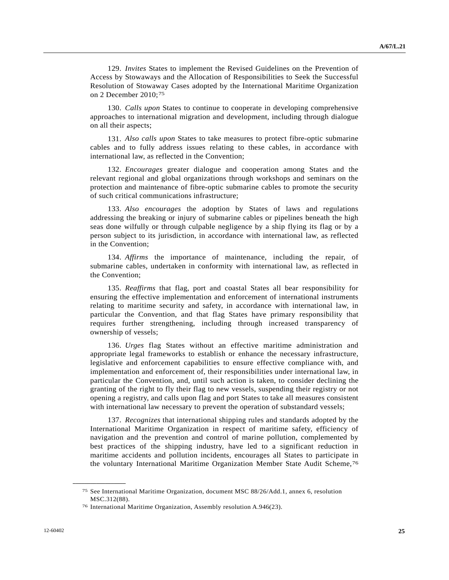129. *Invites* States to implement the Revised Guidelines on the Prevention of Access by Stowaways and the Allocation of Responsibilities to Seek the Successful Resolution of Stowaway Cases adopted by the International Maritime Organization on 2 December 2010;[7](#page-24-0)5

 130. *Calls upon* States to continue to cooperate in developing comprehensive approaches to international migration and development, including through dialogue on all their aspects;

 131. *Also calls upon* States to take measures to protect fibre-optic submarine cables and to fully address issues relating to these cables, in accordance with international law, as reflected in the Convention;

 132. *Encourages* greater dialogue and cooperation among States and the relevant regional and global organizations through workshops and seminars on the protection and maintenance of fibre-optic submarine cables to promote the security of such critical communications infrastructure;

 133. *Also encourages* the adoption by States of laws and regulations addressing the breaking or injury of submarine cables or pipelines beneath the high seas done wilfully or through culpable negligence by a ship flying its flag or by a person subject to its jurisdiction, in accordance with international law, as reflected in the Convention;

 134. *Affirms* the importance of maintenance, including the repair, of submarine cables, undertaken in conformity with international law, as reflected in the Convention;

 135. *Reaffirms* that flag, port and coastal States all bear responsibility for ensuring the effective implementation and enforcement of international instruments relating to maritime security and safety, in accordance with international law, in particular the Convention, and that flag States have primary responsibility that requires further strengthening, including through increased transparency of ownership of vessels;

 136. *Urges* flag States without an effective maritime administration and appropriate legal frameworks to establish or enhance the necessary infrastructure, legislative and enforcement capabilities to ensure effective compliance with, and implementation and enforcement of, their responsibilities under international law, in particular the Convention, and, until such action is taken, to consider declining the granting of the right to fly their flag to new vessels, suspending their registry or not opening a registry, and calls upon flag and port States to take all measures consistent with international law necessary to prevent the operation of substandard vessels;

 137. *Recognizes* that international shipping rules and standards adopted by the International Maritime Organization in respect of maritime safety, efficiency of navigation and the prevention and control of marine pollution, complemented by best practices of the shipping industry, have led to a significant reduction in maritime accidents and pollution incidents, encourages all States to participate in the voluntary International Maritime Organization Member State Audit Scheme,[76](#page-24-1)

<span id="page-24-0"></span><sup>75</sup> See International Maritime Organization, document MSC 88/26/Add.1, annex 6, resolution MSC.312(88).

<span id="page-24-1"></span><sup>76</sup> International Maritime Organization, Assembly resolution A.946(23).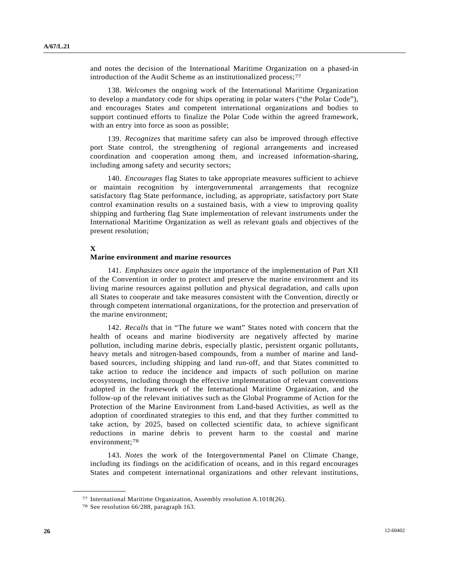and notes the decision of the International Maritime Organization on a phased-in introduction of the Audit Scheme as an institutionalized process;<sup>[77](#page-25-0)</sup>

 138. *Welcomes* the ongoing work of the International Maritime Organization to develop a mandatory code for ships operating in polar waters ("the Polar Code"), and encourages States and competent international organizations and bodies to support continued efforts to finalize the Polar Code within the agreed framework, with an entry into force as soon as possible;

 139. *Recognizes* that maritime safety can also be improved through effective port State control, the strengthening of regional arrangements and increased coordination and cooperation among them, and increased information-sharing, including among safety and security sectors;

 140. *Encourages* flag States to take appropriate measures sufficient to achieve or maintain recognition by intergovernmental arrangements that recognize satisfactory flag State performance, including, as appropriate, satisfactory port State control examination results on a sustained basis, with a view to improving quality shipping and furthering flag State implementation of relevant instruments under the International Maritime Organization as well as relevant goals and objectives of the present resolution;

### **X**

### **Marine environment and marine resources**

 141. *Emphasizes once again* the importance of the implementation of Part XII of the Convention in order to protect and preserve the marine environment and its living marine resources against pollution and physical degradation, and calls upon all States to cooperate and take measures consistent with the Convention, directly or through competent international organizations, for the protection and preservation of the marine environment;

 142. *Recalls* that in "The future we want" States noted with concern that the health of oceans and marine biodiversity are negatively affected by marine pollution, including marine debris, especially plastic, persistent organic pollutants, heavy metals and nitrogen-based compounds, from a number of marine and landbased sources, including shipping and land run-off, and that States committed to take action to reduce the incidence and impacts of such pollution on marine ecosystems, including through the effective implementation of relevant conventions adopted in the framework of the International Maritime Organization, and the follow-up of the relevant initiatives such as the Global Programme of Action for the Protection of the Marine Environment from Land-based Activities, as well as the adoption of coordinated strategies to this end, and that they further committed to take action, by 2025, based on collected scientific data, to achieve significant reductions in marine debris to prevent harm to the coastal and marine environment:<sup>[7](#page-25-1)8</sup>

 143. *Notes* the work of the Intergovernmental Panel on Climate Change, including its findings on the acidification of oceans, and in this regard encourages States and competent international organizations and other relevant institutions,

<span id="page-25-1"></span><span id="page-25-0"></span><sup>77</sup> International Maritime Organization, Assembly resolution A.1018(26). 78 See resolution 66/288, paragraph 163.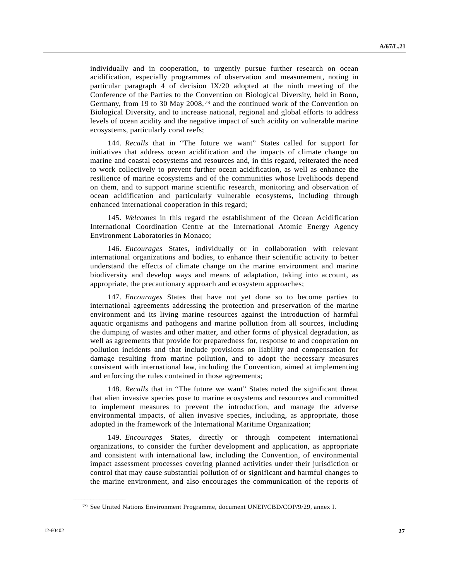individually and in cooperation, to urgently pursue further research on ocean acidification, especially programmes of observation and measurement, noting in particular paragraph 4 of decision IX/20 adopted at the ninth meeting of the Conference of the Parties to the Convention on Biological Diversity, held in Bonn, Germany, from 19 to 30 May 2008,[7](#page-26-0)9 and the continued work of the Convention on Biological Diversity, and to increase national, regional and global efforts to address levels of ocean acidity and the negative impact of such acidity on vulnerable marine ecosystems, particularly coral reefs;

 144. *Recalls* that in "The future we want" States called for support for initiatives that address ocean acidification and the impacts of climate change on marine and coastal ecosystems and resources and, in this regard, reiterated the need to work collectively to prevent further ocean acidification, as well as enhance the resilience of marine ecosystems and of the communities whose livelihoods depend on them, and to support marine scientific research, monitoring and observation of ocean acidification and particularly vulnerable ecosystems, including through enhanced international cooperation in this regard;

 145. *Welcomes* in this regard the establishment of the Ocean Acidification International Coordination Centre at the International Atomic Energy Agency Environment Laboratories in Monaco;

 146. *Encourages* States, individually or in collaboration with relevant international organizations and bodies, to enhance their scientific activity to better understand the effects of climate change on the marine environment and marine biodiversity and develop ways and means of adaptation, taking into account, as appropriate, the precautionary approach and ecosystem approaches;

 147. *Encourages* States that have not yet done so to become parties to international agreements addressing the protection and preservation of the marine environment and its living marine resources against the introduction of harmful aquatic organisms and pathogens and marine pollution from all sources, including the dumping of wastes and other matter, and other forms of physical degradation, as well as agreements that provide for preparedness for, response to and cooperation on pollution incidents and that include provisions on liability and compensation for damage resulting from marine pollution, and to adopt the necessary measures consistent with international law, including the Convention, aimed at implementing and enforcing the rules contained in those agreements;

 148. *Recalls* that in "The future we want" States noted the significant threat that alien invasive species pose to marine ecosystems and resources and committed to implement measures to prevent the introduction, and manage the adverse environmental impacts, of alien invasive species, including, as appropriate, those adopted in the framework of the International Maritime Organization;

 149. *Encourages* States, directly or through competent international organizations, to consider the further development and application, as appropriate and consistent with international law, including the Convention, of environmental impact assessment processes covering planned activities under their jurisdiction or control that may cause substantial pollution of or significant and harmful changes to the marine environment, and also encourages the communication of the reports of

<span id="page-26-0"></span><sup>79</sup> See United Nations Environment Programme, document UNEP/CBD/COP/9/29, annex I.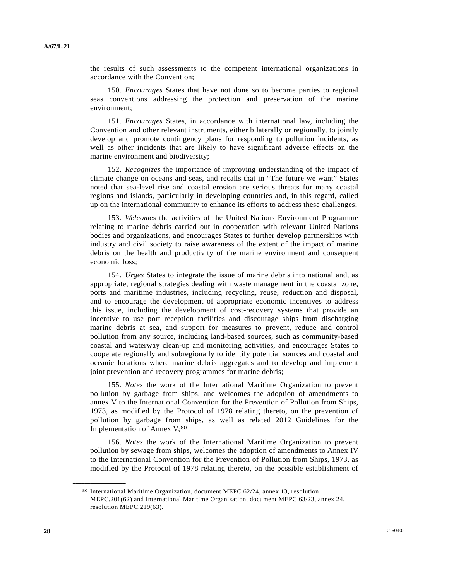the results of such assessments to the competent international organizations in accordance with the Convention;

 150. *Encourages* States that have not done so to become parties to regional seas conventions addressing the protection and preservation of the marine environment;

 151. *Encourages* States, in accordance with international law, including the Convention and other relevant instruments, either bilaterally or regionally, to jointly develop and promote contingency plans for responding to pollution incidents, as well as other incidents that are likely to have significant adverse effects on the marine environment and biodiversity;

 152. *Recognizes* the importance of improving understanding of the impact of climate change on oceans and seas, and recalls that in "The future we want" States noted that sea-level rise and coastal erosion are serious threats for many coastal regions and islands, particularly in developing countries and, in this regard, called up on the international community to enhance its efforts to address these challenges;

 153. *Welcomes* the activities of the United Nations Environment Programme relating to marine debris carried out in cooperation with relevant United Nations bodies and organizations, and encourages States to further develop partnerships with industry and civil society to raise awareness of the extent of the impact of marine debris on the health and productivity of the marine environment and consequent economic loss;

 154. *Urges* States to integrate the issue of marine debris into national and, as appropriate, regional strategies dealing with waste management in the coastal zone, ports and maritime industries, including recycling, reuse, reduction and disposal, and to encourage the development of appropriate economic incentives to address this issue, including the development of cost-recovery systems that provide an incentive to use port reception facilities and discourage ships from discharging marine debris at sea, and support for measures to prevent, reduce and control pollution from any source, including land-based sources, such as community-based coastal and waterway clean-up and monitoring activities, and encourages States to cooperate regionally and subregionally to identify potential sources and coastal and oceanic locations where marine debris aggregates and to develop and implement joint prevention and recovery programmes for marine debris;

 155. *Notes* the work of the International Maritime Organization to prevent pollution by garbage from ships, and welcomes the adoption of amendments to annex V to the International Convention for the Prevention of Pollution from Ships, 1973, as modified by the Protocol of 1978 relating thereto, on the prevention of pollution by garbage from ships, as well as related 2012 Guidelines for the Implementation of Annex  $V$ ;<sup>[80](#page-27-0)</sup>

 156. *Notes* the work of the International Maritime Organization to prevent pollution by sewage from ships, welcomes the adoption of amendments to Annex IV to the International Convention for the Prevention of Pollution from Ships, 1973, as modified by the Protocol of 1978 relating thereto, on the possible establishment of

<span id="page-27-0"></span><sup>80</sup> International Maritime Organization, document MEPC 62/24, annex 13, resolution MEPC.201(62) and International Maritime Organization, document MEPC 63/23, annex 24, resolution MEPC.219(63).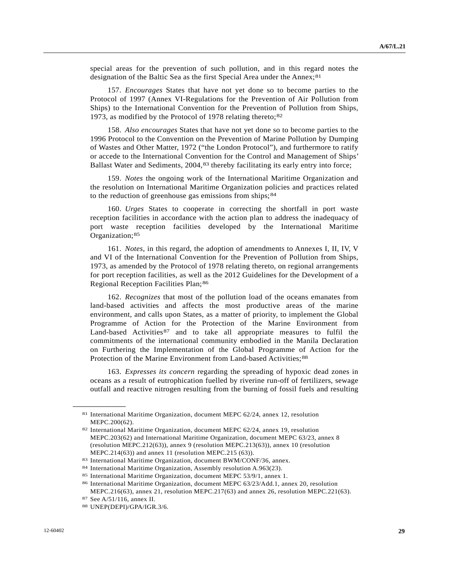special areas for the prevention of such pollution, and in this regard notes the designation of the Baltic Sea as the first Special Area under the Annex;<sup>[8](#page-28-0)1</sup>

 157. *Encourages* States that have not yet done so to become parties to the Protocol of 1997 (Annex VI-Regulations for the Prevention of Air Pollution from Ships) to the International Convention for the Prevention of Pollution from Ships, 1973, as modified by the Protocol of 197[8](#page-28-1) relating thereto;<sup>82</sup>

 158. *Also encourages* States that have not yet done so to become parties to the 1996 Protocol to the Convention on the Prevention of Marine Pollution by Dumping of Wastes and Other Matter, 1972 ("the London Protocol"), and furthermore to ratify or accede to the International Convention for the Control and Management of Ships' Ballast Water and Sediments, 2004, [8](#page-28-2)3 thereby facilitating its early entry into force;

 159. *Notes* the ongoing work of the International Maritime Organization and the resolution on International Maritime Organization policies and practices related to the reduction of greenhouse gas emissions from ships;<sup>[84](#page-28-3)</sup>

 160. *Urges* States to cooperate in correcting the shortfall in port waste reception facilities in accordance with the action plan to address the inadequacy of port waste reception facilities developed by the International Maritime Organization;[85](#page-28-4)

 161. *Notes*, in this regard, the adoption of amendments to Annexes I, II, IV, V and VI of the International Convention for the Prevention of Pollution from Ships, 1973, as amended by the Protocol of 1978 relating thereto, on regional arrangements for port reception facilities, as well as the 2012 Guidelines for the Development of a Regional Reception Facilities Plan;[8](#page-28-5)6

 162. *Recognizes* that most of the pollution load of the oceans emanates from land-based activities and affects the most productive areas of the marine environment, and calls upon States, as a matter of priority, to implement the Global Programme of Action for the Protection of the Marine Environment from Land-based Activities<sup>[8](#page-28-6)7</sup> and to take all appropriate measures to fulfil the commitments of the international community embodied in the Manila Declaration on Furthering the Implementation of the Global Programme of Action for the Protection of the Marine Environment from Land-based Activities;<sup>[88](#page-28-7)</sup>

 163. *Expresses its concern* regarding the spreading of hypoxic dead zones in oceans as a result of eutrophication fuelled by riverine run-off of fertilizers, sewage outfall and reactive nitrogen resulting from the burning of fossil fuels and resulting

<span id="page-28-0"></span><sup>81</sup> International Maritime Organization, document MEPC 62/24, annex 12, resolution MEPC.200(62).

<span id="page-28-1"></span><sup>82</sup> International Maritime Organization, document MEPC 62/24, annex 19, resolution MEPC.203(62) and International Maritime Organization, document MEPC 63/23, annex 8 (resolution MEPC.212(63)), annex 9 (resolution MEPC.213(63)), annex 10 (resolution MEPC.214(63)) and annex 11 (resolution MEPC.215 (63)).

<span id="page-28-4"></span>

<span id="page-28-3"></span><span id="page-28-2"></span><sup>&</sup>lt;sup>83</sup> International Maritime Organization, document BWM/CONF/36, annex.<br><sup>84</sup> International Maritime Organization, Assembly resolution A.963(23).<br><sup>85</sup> International Maritime Organization, document MEPC 53/9/1, annex 1.<br><sup>86</sup> MEPC.216(63), annex 21, resolution MEPC.217(63) and annex 26, resolution MEPC.221(63).

<span id="page-28-6"></span><span id="page-28-5"></span><sup>87</sup> See A/51/116, annex II.

<span id="page-28-7"></span><sup>88</sup> UNEP(DEPI)/GPA/IGR.3/6.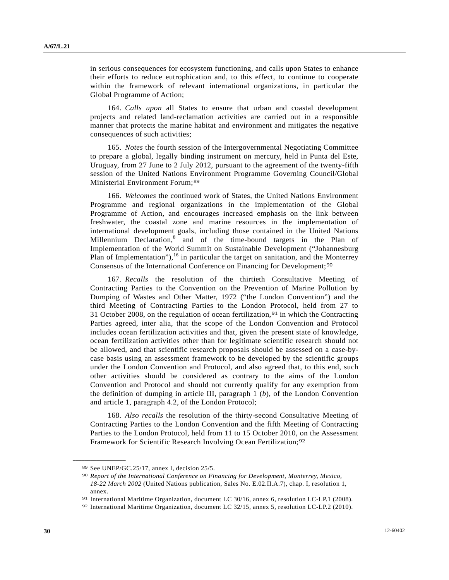in serious consequences for ecosystem functioning, and calls upon States to enhance their efforts to reduce eutrophication and, to this effect, to continue to cooperate within the framework of relevant international organizations, in particular the Global Programme of Action;

 164. *Calls upon* all States to ensure that urban and coastal development projects and related land-reclamation activities are carried out in a responsible manner that protects the marine habitat and environment and mitigates the negative consequences of such activities;

 165. *Notes* the fourth session of the Intergovernmental Negotiating Committee to prepare a global, legally binding instrument on mercury, held in Punta del Este, Uruguay, from 27 June to 2 July 2012, pursuant to the agreement of the twenty-fifth session of the United Nations Environment Programme Governing Council/Global Ministerial Environment Forum;[8](#page-29-0)9

 166. *Welcomes* the continued work of States, the United Nations Environment Programme and regional organizations in the implementation of the Global Programme of Action, and encourages increased emphasis on the link between freshwater, the coastal zone and marine resources in the implementation of international development goals, including those contained in the United Nations Millennium Declaration,<sup>8</sup> and of the time-bound targets in the Plan of Implementation of the World Summit on Sustainable Development ("Johannesburg Plan of Implementation"),<sup>16</sup> in particular the target on sanitation, and the Monterrey Consensus of the International Conference on Financing for Development;<sup>[90](#page-29-1)</sup>

 167. *Recalls* the resolution of the thirtieth Consultative Meeting of Contracting Parties to the Convention on the Prevention of Marine Pollution by Dumping of Wastes and Other Matter, 1972 ("the London Convention") and the third Meeting of Contracting Parties to the London Protocol, held from 27 to 31 October 2008, on the regulation of ocean fertilization,  $91$  in which the Contracting Parties agreed, inter alia, that the scope of the London Convention and Protocol includes ocean fertilization activities and that, given the present state of knowledge, ocean fertilization activities other than for legitimate scientific research should not be allowed, and that scientific research proposals should be assessed on a case-bycase basis using an assessment framework to be developed by the scientific groups under the London Convention and Protocol, and also agreed that, to this end, such other activities should be considered as contrary to the aims of the London Convention and Protocol and should not currently qualify for any exemption from the definition of dumping in article III, paragraph 1 (*b*), of the London Convention and article 1, paragraph 4.2, of the London Protocol;

 168. *Also recalls* the resolution of the thirty-second Consultative Meeting of Contracting Parties to the London Convention and the fifth Meeting of Contracting Parties to the London Protocol, held from 11 to 15 October 2010, on the Assessment Framework for Scientific Research Involving Ocean Fertilization;<sup>[9](#page-29-3)2</sup>

<span id="page-29-1"></span><span id="page-29-0"></span><sup>89</sup> See UNEP/GC.25/17, annex I, decision 25/5.

<sup>90</sup> *Report of the International Conference on Financing for Development, Monterrey, Mexico, 18-22 March 2002* (United Nations publication, Sales No. E.02.II.A.7), chap. I, resolution 1, annex.

<span id="page-29-2"></span><sup>91</sup> International Maritime Organization, document LC 30/16, annex 6, resolution LC-LP.1 (2008). 92 International Maritime Organization, document LC 32/15, annex 5, resolution LC-LP.2 (2010).

<span id="page-29-3"></span>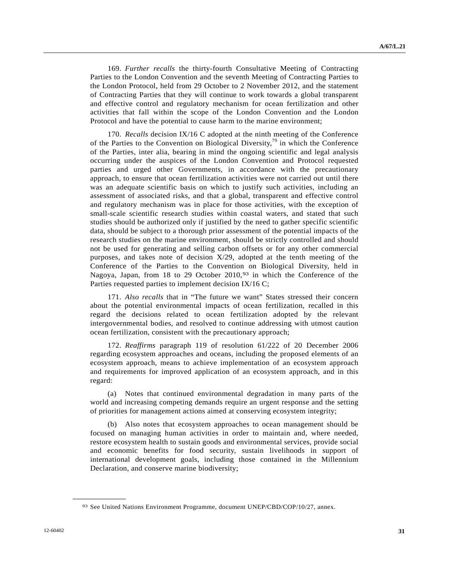169. *Further recalls* the thirty-fourth Consultative Meeting of Contracting Parties to the London Convention and the seventh Meeting of Contracting Parties to the London Protocol, held from 29 October to 2 November 2012, and the statement of Contracting Parties that they will continue to work towards a global transparent and effective control and regulatory mechanism for ocean fertilization and other activities that fall within the scope of the London Convention and the London Protocol and have the potential to cause harm to the marine environment;

 170. *Recalls* decision IX/16 C adopted at the ninth meeting of the Conference of the Parties to the Convention on Biological Diversity,79 in which the Conference of the Parties, inter alia, bearing in mind the ongoing scientific and legal analysis occurring under the auspices of the London Convention and Protocol requested parties and urged other Governments, in accordance with the precautionary approach, to ensure that ocean fertilization activities were not carried out until there was an adequate scientific basis on which to justify such activities, including an assessment of associated risks, and that a global, transparent and effective control and regulatory mechanism was in place for those activities, with the exception of small-scale scientific research studies within coastal waters, and stated that such studies should be authorized only if justified by the need to gather specific scientific data, should be subject to a thorough prior assessment of the potential impacts of the research studies on the marine environment, should be strictly controlled and should not be used for generating and selling carbon offsets or for any other commercial purposes, and takes note of decision X/29, adopted at the tenth meeting of the Conference of the Parties to the Convention on Biological Diversity, held in Nagoya, Japan, from 18 to 2[9](#page-30-0) October 2010,<sup>93</sup> in which the Conference of the Parties requested parties to implement decision IX/16 C;

 171. *Also recalls* that in "The future we want" States stressed their concern about the potential environmental impacts of ocean fertilization, recalled in this regard the decisions related to ocean fertilization adopted by the relevant intergovernmental bodies, and resolved to continue addressing with utmost caution ocean fertilization, consistent with the precautionary approach;

 172. *Reaffirms* paragraph 119 of resolution 61/222 of 20 December 2006 regarding ecosystem approaches and oceans, including the proposed elements of an ecosystem approach, means to achieve implementation of an ecosystem approach and requirements for improved application of an ecosystem approach, and in this regard:

 (a) Notes that continued environmental degradation in many parts of the world and increasing competing demands require an urgent response and the setting of priorities for management actions aimed at conserving ecosystem integrity;

 (b) Also notes that ecosystem approaches to ocean management should be focused on managing human activities in order to maintain and, where needed, restore ecosystem health to sustain goods and environmental services, provide social and economic benefits for food security, sustain livelihoods in support of international development goals, including those contained in the Millennium Declaration, and conserve marine biodiversity;

<span id="page-30-0"></span><sup>93</sup> See United Nations Environment Programme, document UNEP/CBD/COP/10/27, annex.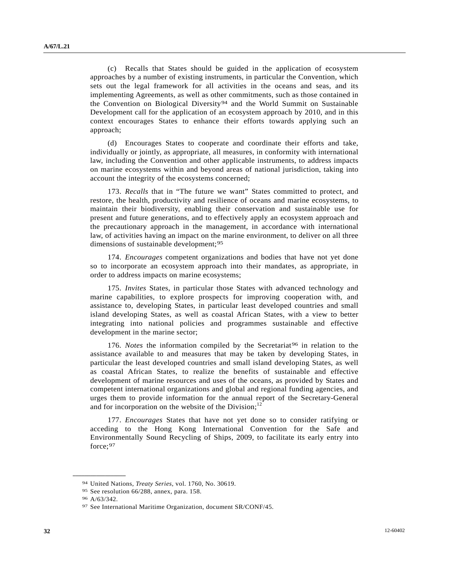(c) Recalls that States should be guided in the application of ecosystem approaches by a number of existing instruments, in particular the Convention, which sets out the legal framework for all activities in the oceans and seas, and its implementing Agreements, as well as other commitments, such as those contained in the Convention on Biological Diversity[9](#page-31-0)4 and the World Summit on Sustainable Development call for the application of an ecosystem approach by 2010, and in this context encourages States to enhance their efforts towards applying such an approach;

 (d) Encourages States to cooperate and coordinate their efforts and take, individually or jointly, as appropriate, all measures, in conformity with international law, including the Convention and other applicable instruments, to address impacts on marine ecosystems within and beyond areas of national jurisdiction, taking into account the integrity of the ecosystems concerned;

 173. *Recalls* that in "The future we want" States committed to protect, and restore, the health, productivity and resilience of oceans and marine ecosystems, to maintain their biodiversity, enabling their conservation and sustainable use for present and future generations, and to effectively apply an ecosystem approach and the precautionary approach in the management, in accordance with international law, of activities having an impact on the marine environment, to deliver on all three dimensions of sustainable development;<sup>[9](#page-31-1)5</sup>

 174. *Encourages* competent organizations and bodies that have not yet done so to incorporate an ecosystem approach into their mandates, as appropriate, in order to address impacts on marine ecosystems;

 175. *Invites* States, in particular those States with advanced technology and marine capabilities, to explore prospects for improving cooperation with, and assistance to, developing States, in particular least developed countries and small island developing States, as well as coastal African States, with a view to better integrating into national policies and programmes sustainable and effective development in the marine sector;

176. *Notes* the information compiled by the Secretariat<sup>[9](#page-31-2)6</sup> in relation to the assistance available to and measures that may be taken by developing States, in particular the least developed countries and small island developing States, as well as coastal African States, to realize the benefits of sustainable and effective development of marine resources and uses of the oceans, as provided by States and competent international organizations and global and regional funding agencies, and urges them to provide information for the annual report of the Secretary-General and for incorporation on the website of the Division;<sup>12</sup>

 177. *Encourages* States that have not yet done so to consider ratifying or acceding to the Hong Kong International Convention for the Safe and Environmentally Sound Recycling of Ships, 2009, to facilitate its early entry into force;[97](#page-31-3)

<sup>94</sup> United Nations, *Treaty Series*, vol. 1760, No. 30619. 95 See resolution 66/288, annex, para. 158.

<span id="page-31-2"></span><span id="page-31-1"></span><span id="page-31-0"></span>

<sup>96</sup> A/63/342.

<span id="page-31-3"></span><sup>97</sup> See International Maritime Organization, document SR/CONF/45.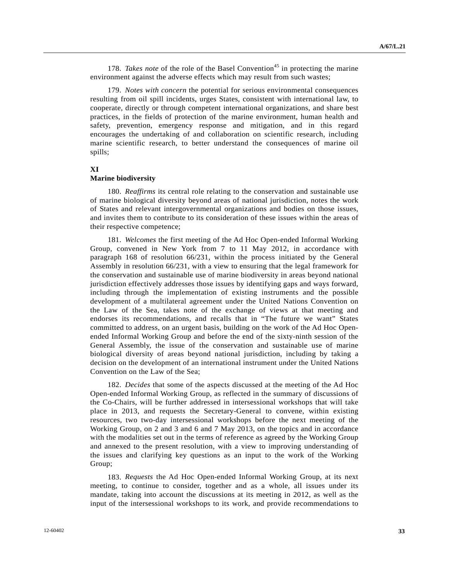178. *Takes note* of the role of the Basel Convention<sup>45</sup> in protecting the marine environment against the adverse effects which may result from such wastes;

 179. *Notes with concern* the potential for serious environmental consequences resulting from oil spill incidents, urges States, consistent with international law, to cooperate, directly or through competent international organizations, and share best practices, in the fields of protection of the marine environment, human health and safety, prevention, emergency response and mitigation, and in this regard encourages the undertaking of and collaboration on scientific research, including marine scientific research, to better understand the consequences of marine oil spills;

# **XI**

# **Marine biodiversity**

 180. *Reaffirms* its central role relating to the conservation and sustainable use of marine biological diversity beyond areas of national jurisdiction, notes the work of States and relevant intergovernmental organizations and bodies on those issues, and invites them to contribute to its consideration of these issues within the areas of their respective competence;

 181. *Welcomes* the first meeting of the Ad Hoc Open-ended Informal Working Group, convened in New York from 7 to 11 May 2012, in accordance with paragraph 168 of resolution 66/231, within the process initiated by the General Assembly in resolution 66/231, with a view to ensuring that the legal framework for the conservation and sustainable use of marine biodiversity in areas beyond national jurisdiction effectively addresses those issues by identifying gaps and ways forward, including through the implementation of existing instruments and the possible development of a multilateral agreement under the United Nations Convention on the Law of the Sea, takes note of the exchange of views at that meeting and endorses its recommendations, and recalls that in "The future we want" States committed to address, on an urgent basis, building on the work of the Ad Hoc Openended Informal Working Group and before the end of the sixty-ninth session of the General Assembly, the issue of the conservation and sustainable use of marine biological diversity of areas beyond national jurisdiction, including by taking a decision on the development of an international instrument under the United Nations Convention on the Law of the Sea;

 182. *Decides* that some of the aspects discussed at the meeting of the Ad Hoc Open-ended Informal Working Group, as reflected in the summary of discussions of the Co-Chairs, will be further addressed in intersessional workshops that will take place in 2013, and requests the Secretary-General to convene, within existing resources, two two-day intersessional workshops before the next meeting of the Working Group, on 2 and 3 and 6 and 7 May 2013, on the topics and in accordance with the modalities set out in the terms of reference as agreed by the Working Group and annexed to the present resolution, with a view to improving understanding of the issues and clarifying key questions as an input to the work of the Working Group;

 183. *Requests* the Ad Hoc Open-ended Informal Working Group, at its next meeting, to continue to consider, together and as a whole, all issues under its mandate, taking into account the discussions at its meeting in 2012, as well as the input of the intersessional workshops to its work, and provide recommendations to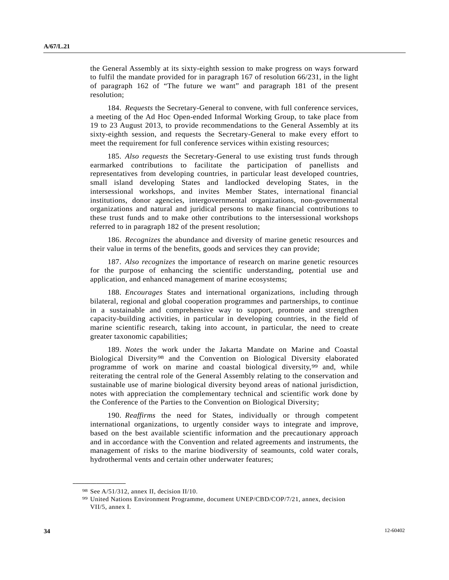the General Assembly at its sixty-eighth session to make progress on ways forward to fulfil the mandate provided for in paragraph 167 of resolution 66/231, in the light of paragraph 162 of "The future we want" and paragraph 181 of the present resolution;

 184. *Requests* the Secretary-General to convene, with full conference services, a meeting of the Ad Hoc Open-ended Informal Working Group, to take place from 19 to 23 August 2013, to provide recommendations to the General Assembly at its sixty-eighth session, and requests the Secretary-General to make every effort to meet the requirement for full conference services within existing resources;

 185. *Also requests* the Secretary-General to use existing trust funds through earmarked contributions to facilitate the participation of panellists and representatives from developing countries, in particular least developed countries, small island developing States and landlocked developing States, in the intersessional workshops, and invites Member States, international financial institutions, donor agencies, intergovernmental organizations, non-governmental organizations and natural and juridical persons to make financial contributions to these trust funds and to make other contributions to the intersessional workshops referred to in paragraph 182 of the present resolution;

 186. *Recognizes* the abundance and diversity of marine genetic resources and their value in terms of the benefits, goods and services they can provide;

 187. *Also recognizes* the importance of research on marine genetic resources for the purpose of enhancing the scientific understanding, potential use and application, and enhanced management of marine ecosystems;

 188. *Encourages* States and international organizations, including through bilateral, regional and global cooperation programmes and partnerships, to continue in a sustainable and comprehensive way to support, promote and strengthen capacity-building activities, in particular in developing countries, in the field of marine scientific research, taking into account, in particular, the need to create greater taxonomic capabilities;

 189. *Notes* the work under the Jakarta Mandate on Marine and Coastal Biological Diversity[9](#page-33-0)8 and the Convention on Biological Diversity elaborated programme of work on marine and coastal biological diversity,[9](#page-33-1)9 and, while reiterating the central role of the General Assembly relating to the conservation and sustainable use of marine biological diversity beyond areas of national jurisdiction, notes with appreciation the complementary technical and scientific work done by the Conference of the Parties to the Convention on Biological Diversity;

 190. *Reaffirms* the need for States, individually or through competent international organizations, to urgently consider ways to integrate and improve, based on the best available scientific information and the precautionary approach and in accordance with the Convention and related agreements and instruments, the management of risks to the marine biodiversity of seamounts, cold water corals, hydrothermal vents and certain other underwater features;

<span id="page-33-1"></span><span id="page-33-0"></span><sup>98</sup> See A/51/312, annex II, decision II/10.

<sup>99</sup> United Nations Environment Programme, document UNEP/CBD/COP/7/21, annex, decision VII/5, annex I.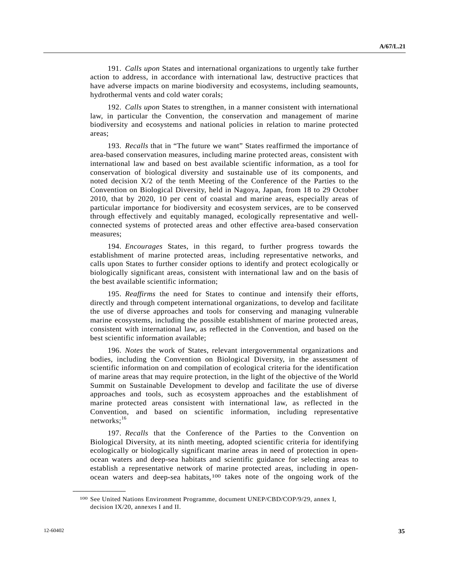191. *Calls upon* States and international organizations to urgently take further action to address, in accordance with international law, destructive practices that have adverse impacts on marine biodiversity and ecosystems, including seamounts, hydrothermal vents and cold water corals;

 192. *Calls upon* States to strengthen, in a manner consistent with international law, in particular the Convention, the conservation and management of marine biodiversity and ecosystems and national policies in relation to marine protected areas;

 193. *Recalls* that in "The future we want" States reaffirmed the importance of area-based conservation measures, including marine protected areas, consistent with international law and based on best available scientific information, as a tool for conservation of biological diversity and sustainable use of its components, and noted decision X/2 of the tenth Meeting of the Conference of the Parties to the Convention on Biological Diversity, held in Nagoya, Japan, from 18 to 29 October 2010, that by 2020, 10 per cent of coastal and marine areas, especially areas of particular importance for biodiversity and ecosystem services, are to be conserved through effectively and equitably managed, ecologically representative and wellconnected systems of protected areas and other effective area-based conservation measures;

 194. *Encourages* States, in this regard, to further progress towards the establishment of marine protected areas, including representative networks, and calls upon States to further consider options to identify and protect ecologically or biologically significant areas, consistent with international law and on the basis of the best available scientific information;

 195. *Reaffirms* the need for States to continue and intensify their efforts, directly and through competent international organizations, to develop and facilitate the use of diverse approaches and tools for conserving and managing vulnerable marine ecosystems, including the possible establishment of marine protected areas, consistent with international law, as reflected in the Convention, and based on the best scientific information available;

 196. *Notes* the work of States, relevant intergovernmental organizations and bodies, including the Convention on Biological Diversity, in the assessment of scientific information on and compilation of ecological criteria for the identification of marine areas that may require protection, in the light of the objective of the World Summit on Sustainable Development to develop and facilitate the use of diverse approaches and tools, such as ecosystem approaches and the establishment of marine protected areas consistent with international law, as reflected in the Convention, and based on scientific information, including representative networks; $^{16}$ 

 197. *Recalls* that the Conference of the Parties to the Convention on Biological Diversity, at its ninth meeting, adopted scientific criteria for identifying ecologically or biologically significant marine areas in need of protection in openocean waters and deep-sea habitats and scientific guidance for selecting areas to establish a representative network of marine protected areas, including in openocean waters and deep-sea habitats,[10](#page-34-0)0 takes note of the ongoing work of the

<span id="page-34-0"></span><sup>100</sup> See United Nations Environment Programme, document UNEP/CBD/COP/9/29, annex I, decision IX/20, annexes I and II.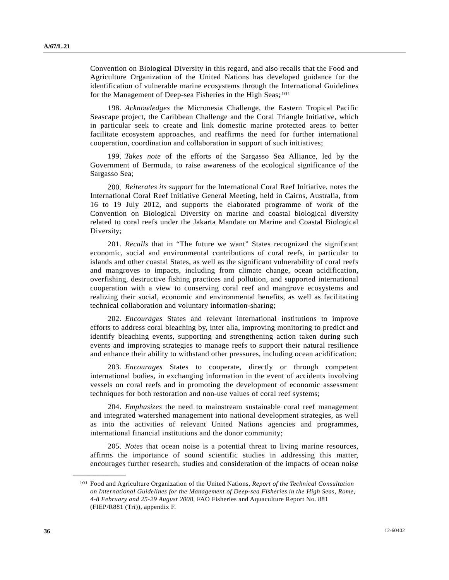Convention on Biological Diversity in this regard, and also recalls that the Food and Agriculture Organization of the United Nations has developed guidance for the identification of vulnerable marine ecosystems through the International Guidelines for the Management of Deep-sea Fisheries in the High Seas;<sup>[10](#page-35-0)1</sup>

 198. *Acknowledges* the Micronesia Challenge, the Eastern Tropical Pacific Seascape project, the Caribbean Challenge and the Coral Triangle Initiative, which in particular seek to create and link domestic marine protected areas to better facilitate ecosystem approaches, and reaffirms the need for further international cooperation, coordination and collaboration in support of such initiatives;

 199. *Takes note* of the efforts of the Sargasso Sea Alliance, led by the Government of Bermuda, to raise awareness of the ecological significance of the Sargasso Sea;

 200. *Reiterates its support* for the International Coral Reef Initiative, notes the International Coral Reef Initiative General Meeting, held in Cairns, Australia, from 16 to 19 July 2012, and supports the elaborated programme of work of the Convention on Biological Diversity on marine and coastal biological diversity related to coral reefs under the Jakarta Mandate on Marine and Coastal Biological Diversity;

 201. *Recalls* that in "The future we want" States recognized the significant economic, social and environmental contributions of coral reefs, in particular to islands and other coastal States, as well as the significant vulnerability of coral reefs and mangroves to impacts, including from climate change, ocean acidification, overfishing, destructive fishing practices and pollution, and supported international cooperation with a view to conserving coral reef and mangrove ecosystems and realizing their social, economic and environmental benefits, as well as facilitating technical collaboration and voluntary information-sharing;

 202. *Encourages* States and relevant international institutions to improve efforts to address coral bleaching by, inter alia, improving monitoring to predict and identify bleaching events, supporting and strengthening action taken during such events and improving strategies to manage reefs to support their natural resilience and enhance their ability to withstand other pressures, including ocean acidification;

 203. *Encourages* States to cooperate, directly or through competent international bodies, in exchanging information in the event of accidents involving vessels on coral reefs and in promoting the development of economic assessment techniques for both restoration and non-use values of coral reef systems;

 204. *Emphasizes* the need to mainstream sustainable coral reef management and integrated watershed management into national development strategies, as well as into the activities of relevant United Nations agencies and programmes, international financial institutions and the donor community;

 205. *Notes* that ocean noise is a potential threat to living marine resources, affirms the importance of sound scientific studies in addressing this matter, encourages further research, studies and consideration of the impacts of ocean noise

<span id="page-35-0"></span><sup>101</sup> Food and Agriculture Organization of the United Nations, *Report of the Technical Consultation on International Guidelines for the Management of Deep-sea Fisheries in the High Seas, Rome, 4-8 February and 25-29 August 2008*, FAO Fisheries and Aquaculture Report No. 881 (FIEP/R881 (Tri)), appendix F.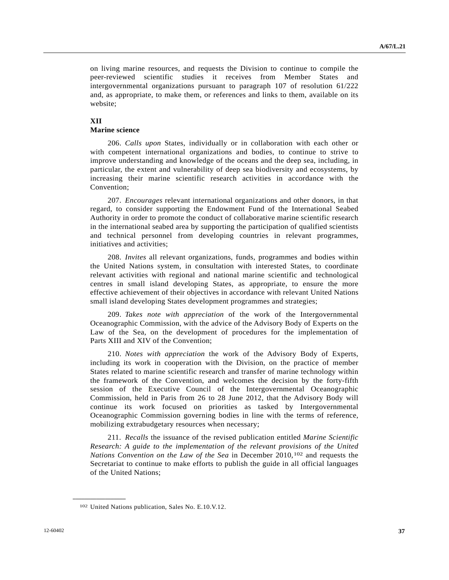on living marine resources, and requests the Division to continue to compile the peer-reviewed scientific studies it receives from Member States and intergovernmental organizations pursuant to paragraph 107 of resolution 61/222 and, as appropriate, to make them, or references and links to them, available on its website;

# **XII**

# **Marine science**

 206. *Calls upon* States, individually or in collaboration with each other or with competent international organizations and bodies, to continue to strive to improve understanding and knowledge of the oceans and the deep sea, including, in particular, the extent and vulnerability of deep sea biodiversity and ecosystems, by increasing their marine scientific research activities in accordance with the Convention;

 207. *Encourages* relevant international organizations and other donors, in that regard, to consider supporting the Endowment Fund of the International Seabed Authority in order to promote the conduct of collaborative marine scientific research in the international seabed area by supporting the participation of qualified scientists and technical personnel from developing countries in relevant programmes, initiatives and activities;

 208. *Invites* all relevant organizations, funds, programmes and bodies within the United Nations system, in consultation with interested States, to coordinate relevant activities with regional and national marine scientific and technological centres in small island developing States, as appropriate, to ensure the more effective achievement of their objectives in accordance with relevant United Nations small island developing States development programmes and strategies;

 209. *Takes note with appreciation* of the work of the Intergovernmental Oceanographic Commission, with the advice of the Advisory Body of Experts on the Law of the Sea, on the development of procedures for the implementation of Parts XIII and XIV of the Convention;

 210. *Notes with appreciation* the work of the Advisory Body of Experts, including its work in cooperation with the Division, on the practice of member States related to marine scientific research and transfer of marine technology within the framework of the Convention, and welcomes the decision by the forty-fifth session of the Executive Council of the Intergovernmental Oceanographic Commission, held in Paris from 26 to 28 June 2012, that the Advisory Body will continue its work focused on priorities as tasked by Intergovernmental Oceanographic Commission governing bodies in line with the terms of reference, mobilizing extrabudgetary resources when necessary;

 211. *Recalls* the issuance of the revised publication entitled *Marine Scientific Research: A guide to the implementation of the relevant provisions of the United Nations Convention on the Law of the Sea* in December 2010,[10](#page-36-0)2 and requests the Secretariat to continue to make efforts to publish the guide in all official languages of the United Nations;

<span id="page-36-0"></span><sup>102</sup> United Nations publication, Sales No. E.10.V.12.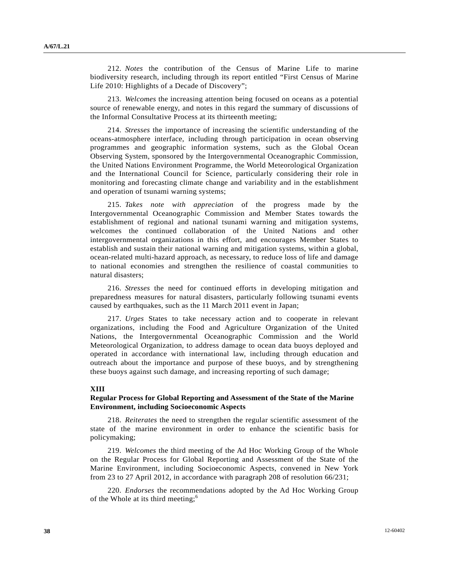212. *Notes* the contribution of the Census of Marine Life to marine biodiversity research, including through its report entitled "First Census of Marine Life 2010: Highlights of a Decade of Discovery";

 213. *Welcomes* the increasing attention being focused on oceans as a potential source of renewable energy, and notes in this regard the summary of discussions of the Informal Consultative Process at its thirteenth meeting;

 214. *Stresses* the importance of increasing the scientific understanding of the oceans-atmosphere interface, including through participation in ocean observing programmes and geographic information systems, such as the Global Ocean Observing System, sponsored by the Intergovernmental Oceanographic Commission, the United Nations Environment Programme, the World Meteorological Organization and the International Council for Science, particularly considering their role in monitoring and forecasting climate change and variability and in the establishment and operation of tsunami warning systems;

 215. *Takes note with appreciation* of the progress made by the Intergovernmental Oceanographic Commission and Member States towards the establishment of regional and national tsunami warning and mitigation systems, welcomes the continued collaboration of the United Nations and other intergovernmental organizations in this effort, and encourages Member States to establish and sustain their national warning and mitigation systems, within a global, ocean-related multi-hazard approach, as necessary, to reduce loss of life and damage to national economies and strengthen the resilience of coastal communities to natural disasters;

 216. *Stresses* the need for continued efforts in developing mitigation and preparedness measures for natural disasters, particularly following tsunami events caused by earthquakes, such as the 11 March 2011 event in Japan;

 217. *Urges* States to take necessary action and to cooperate in relevant organizations, including the Food and Agriculture Organization of the United Nations, the Intergovernmental Oceanographic Commission and the World Meteorological Organization, to address damage to ocean data buoys deployed and operated in accordance with international law, including through education and outreach about the importance and purpose of these buoys, and by strengthening these buoys against such damage, and increasing reporting of such damage;

#### **XIII**

# **Regular Process for Global Reporting and Assessment of the State of the Marine Environment, including Socioeconomic Aspects**

 218. *Reiterates* the need to strengthen the regular scientific assessment of the state of the marine environment in order to enhance the scientific basis for policymaking;

 219. *Welcomes* the third meeting of the Ad Hoc Working Group of the Whole on the Regular Process for Global Reporting and Assessment of the State of the Marine Environment, including Socioeconomic Aspects, convened in New York from 23 to 27 April 2012, in accordance with paragraph 208 of resolution 66/231;

 220. *Endorses* the recommendations adopted by the Ad Hoc Working Group of the Whole at its third meeting;<sup>6</sup>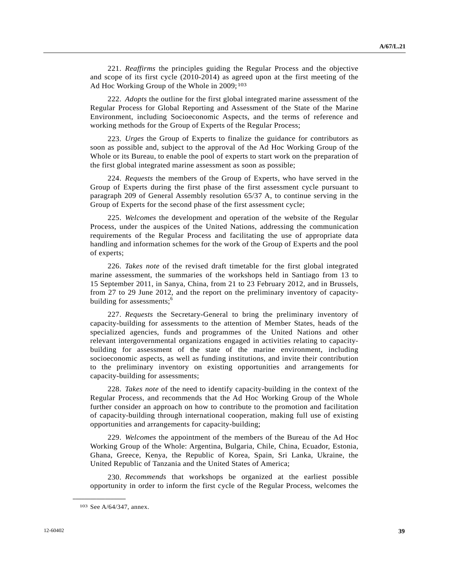221. *Reaffirms* the principles guiding the Regular Process and the objective and scope of its first cycle (2010-2014) as agreed upon at the first meeting of the Ad Hoc Working Group of the Whole in 2009;<sup>[1](#page-38-0)03</sup>

 222. *Adopts* the outline for the first global integrated marine assessment of the Regular Process for Global Reporting and Assessment of the State of the Marine Environment, including Socioeconomic Aspects, and the terms of reference and working methods for the Group of Experts of the Regular Process;

 223. *Urges* the Group of Experts to finalize the guidance for contributors as soon as possible and, subject to the approval of the Ad Hoc Working Group of the Whole or its Bureau, to enable the pool of experts to start work on the preparation of the first global integrated marine assessment as soon as possible;

 224. *Requests* the members of the Group of Experts, who have served in the Group of Experts during the first phase of the first assessment cycle pursuant to paragraph 209 of General Assembly resolution 65/37 A, to continue serving in the Group of Experts for the second phase of the first assessment cycle;

 225. *Welcomes* the development and operation of the website of the Regular Process, under the auspices of the United Nations, addressing the communication requirements of the Regular Process and facilitating the use of appropriate data handling and information schemes for the work of the Group of Experts and the pool of experts;

 226. *Takes note* of the revised draft timetable for the first global integrated marine assessment, the summaries of the workshops held in Santiago from 13 to 15 September 2011, in Sanya, China, from 21 to 23 February 2012, and in Brussels, from 27 to 29 June 2012, and the report on the preliminary inventory of capacitybuilding for assessments;<sup>6</sup>

 227. *Requests* the Secretary-General to bring the preliminary inventory of capacity-building for assessments to the attention of Member States, heads of the specialized agencies, funds and programmes of the United Nations and other relevant intergovernmental organizations engaged in activities relating to capacitybuilding for assessment of the state of the marine environment, including socioeconomic aspects, as well as funding institutions, and invite their contribution to the preliminary inventory on existing opportunities and arrangements for capacity-building for assessments;

 228. *Takes note* of the need to identify capacity-building in the context of the Regular Process, and recommends that the Ad Hoc Working Group of the Whole further consider an approach on how to contribute to the promotion and facilitation of capacity-building through international cooperation, making full use of existing opportunities and arrangements for capacity-building;

 229. *Welcomes* the appointment of the members of the Bureau of the Ad Hoc Working Group of the Whole: Argentina, Bulgaria, Chile, China, Ecuador, Estonia, Ghana, Greece, Kenya, the Republic of Korea, Spain, Sri Lanka, Ukraine, the United Republic of Tanzania and the United States of America;

 230. *Recommends* that workshops be organized at the earliest possible opportunity in order to inform the first cycle of the Regular Process, welcomes the

<span id="page-38-0"></span><sup>103</sup> See A/64/347, annex.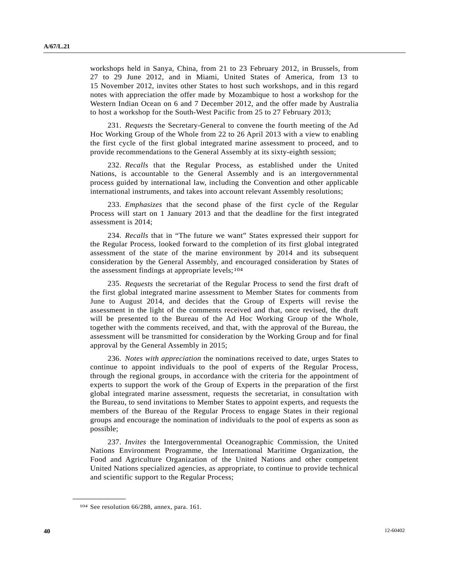workshops held in Sanya, China, from 21 to 23 February 2012, in Brussels, from 27 to 29 June 2012, and in Miami, United States of America, from 13 to 15 November 2012, invites other States to host such workshops, and in this regard notes with appreciation the offer made by Mozambique to host a workshop for the Western Indian Ocean on 6 and 7 December 2012, and the offer made by Australia to host a workshop for the South-West Pacific from 25 to 27 February 2013;

 231. *Requests* the Secretary-General to convene the fourth meeting of the Ad Hoc Working Group of the Whole from 22 to 26 April 2013 with a view to enabling the first cycle of the first global integrated marine assessment to proceed, and to provide recommendations to the General Assembly at its sixty-eighth session;

 232. *Recalls* that the Regular Process, as established under the United Nations, is accountable to the General Assembly and is an intergovernmental process guided by international law, including the Convention and other applicable international instruments, and takes into account relevant Assembly resolutions;

 233. *Emphasizes* that the second phase of the first cycle of the Regular Process will start on 1 January 2013 and that the deadline for the first integrated assessment is 2014;

 234. *Recalls* that in "The future we want" States expressed their support for the Regular Process, looked forward to the completion of its first global integrated assessment of the state of the marine environment by 2014 and its subsequent consideration by the General Assembly, and encouraged consideration by States of the assessment findings at appropriate levels;  $104$  $104$ 

 235. *Requests* the secretariat of the Regular Process to send the first draft of the first global integrated marine assessment to Member States for comments from June to August 2014, and decides that the Group of Experts will revise the assessment in the light of the comments received and that, once revised, the draft will be presented to the Bureau of the Ad Hoc Working Group of the Whole, together with the comments received, and that, with the approval of the Bureau, the assessment will be transmitted for consideration by the Working Group and for final approval by the General Assembly in 2015;

 236. *Notes with appreciation* the nominations received to date, urges States to continue to appoint individuals to the pool of experts of the Regular Process, through the regional groups, in accordance with the criteria for the appointment of experts to support the work of the Group of Experts in the preparation of the first global integrated marine assessment, requests the secretariat, in consultation with the Bureau, to send invitations to Member States to appoint experts, and requests the members of the Bureau of the Regular Process to engage States in their regional groups and encourage the nomination of individuals to the pool of experts as soon as possible;

 237. *Invites* the Intergovernmental Oceanographic Commission, the United Nations Environment Programme, the International Maritime Organization, the Food and Agriculture Organization of the United Nations and other competent United Nations specialized agencies, as appropriate, to continue to provide technical and scientific support to the Regular Process;

<span id="page-39-0"></span><sup>104</sup> See resolution 66/288, annex, para. 161.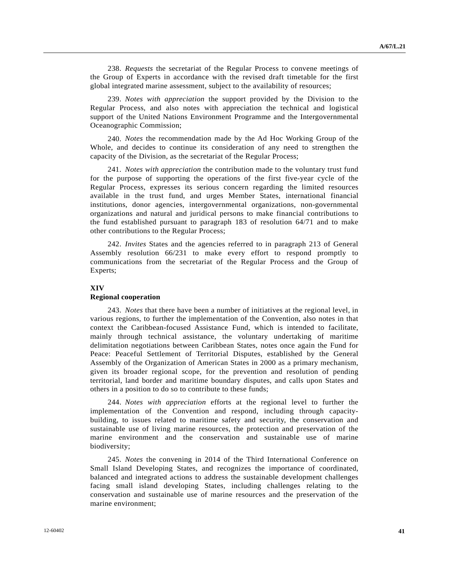238. *Requests* the secretariat of the Regular Process to convene meetings of the Group of Experts in accordance with the revised draft timetable for the first global integrated marine assessment, subject to the availability of resources;

 239. *Notes with appreciation* the support provided by the Division to the Regular Process, and also notes with appreciation the technical and logistical support of the United Nations Environment Programme and the Intergovernmental Oceanographic Commission;

 240. *Notes* the recommendation made by the Ad Hoc Working Group of the Whole, and decides to continue its consideration of any need to strengthen the capacity of the Division, as the secretariat of the Regular Process;

 241. *Notes with appreciation* the contribution made to the voluntary trust fund for the purpose of supporting the operations of the first five-year cycle of the Regular Process, expresses its serious concern regarding the limited resources available in the trust fund, and urges Member States, international financial institutions, donor agencies, intergovernmental organizations, non-governmental organizations and natural and juridical persons to make financial contributions to the fund established pursuant to paragraph 183 of resolution 64/71 and to make other contributions to the Regular Process;

 242. *Invites* States and the agencies referred to in paragraph 213 of General Assembly resolution 66/231 to make every effort to respond promptly to communications from the secretariat of the Regular Process and the Group of Experts;

#### **XIV**

### **Regional cooperation**

 243. *Notes* that there have been a number of initiatives at the regional level, in various regions, to further the implementation of the Convention, also notes in that context the Caribbean-focused Assistance Fund, which is intended to facilitate, mainly through technical assistance, the voluntary undertaking of maritime delimitation negotiations between Caribbean States, notes once again the Fund for Peace: Peaceful Settlement of Territorial Disputes, established by the General Assembly of the Organization of American States in 2000 as a primary mechanism, given its broader regional scope, for the prevention and resolution of pending territorial, land border and maritime boundary disputes, and calls upon States and others in a position to do so to contribute to these funds;

 244. *Notes with appreciation* efforts at the regional level to further the implementation of the Convention and respond, including through capacitybuilding, to issues related to maritime safety and security, the conservation and sustainable use of living marine resources, the protection and preservation of the marine environment and the conservation and sustainable use of marine biodiversity;

 245. *Notes* the convening in 2014 of the Third International Conference on Small Island Developing States, and recognizes the importance of coordinated, balanced and integrated actions to address the sustainable development challenges facing small island developing States, including challenges relating to the conservation and sustainable use of marine resources and the preservation of the marine environment;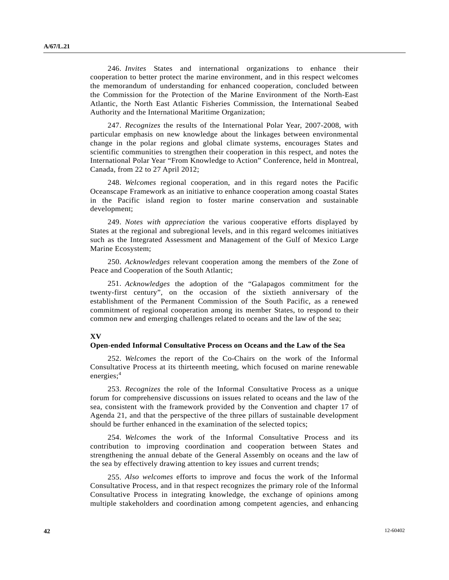246. *Invites* States and international organizations to enhance their cooperation to better protect the marine environment, and in this respect welcomes the memorandum of understanding for enhanced cooperation, concluded between the Commission for the Protection of the Marine Environment of the North-East Atlantic, the North East Atlantic Fisheries Commission, the International Seabed Authority and the International Maritime Organization;

 247. *Recognizes* the results of the International Polar Year, 2007-2008, with particular emphasis on new knowledge about the linkages between environmental change in the polar regions and global climate systems, encourages States and scientific communities to strengthen their cooperation in this respect, and notes the International Polar Year "From Knowledge to Action" Conference, held in Montreal, Canada, from 22 to 27 April 2012;

 248. *Welcomes* regional cooperation, and in this regard notes the Pacific Oceanscape Framework as an initiative to enhance cooperation among coastal States in the Pacific island region to foster marine conservation and sustainable development;

 249. *Notes with appreciation* the various cooperative efforts displayed by States at the regional and subregional levels, and in this regard welcomes initiatives such as the Integrated Assessment and Management of the Gulf of Mexico Large Marine Ecosystem;

 250. *Acknowledges* relevant cooperation among the members of the Zone of Peace and Cooperation of the South Atlantic;

 251. *Acknowledges* the adoption of the "Galapagos commitment for the twenty-first century", on the occasion of the sixtieth anniversary of the establishment of the Permanent Commission of the South Pacific, as a renewed commitment of regional cooperation among its member States, to respond to their common new and emerging challenges related to oceans and the law of the sea;

#### **XV**

#### **Open-ended Informal Consultative Process on Oceans and the Law of the Sea**

 252. *Welcomes* the report of the Co-Chairs on the work of the Informal Consultative Process at its thirteenth meeting, which focused on marine renewable energies;<sup>4</sup>

 253. *Recognizes* the role of the Informal Consultative Process as a unique forum for comprehensive discussions on issues related to oceans and the law of the sea, consistent with the framework provided by the Convention and chapter 17 of Agenda 21, and that the perspective of the three pillars of sustainable development should be further enhanced in the examination of the selected topics;

 254. *Welcomes* the work of the Informal Consultative Process and its contribution to improving coordination and cooperation between States and strengthening the annual debate of the General Assembly on oceans and the law of the sea by effectively drawing attention to key issues and current trends;

 255. *Also welcomes* efforts to improve and focus the work of the Informal Consultative Process, and in that respect recognizes the primary role of the Informal Consultative Process in integrating knowledge, the exchange of opinions among multiple stakeholders and coordination among competent agencies, and enhancing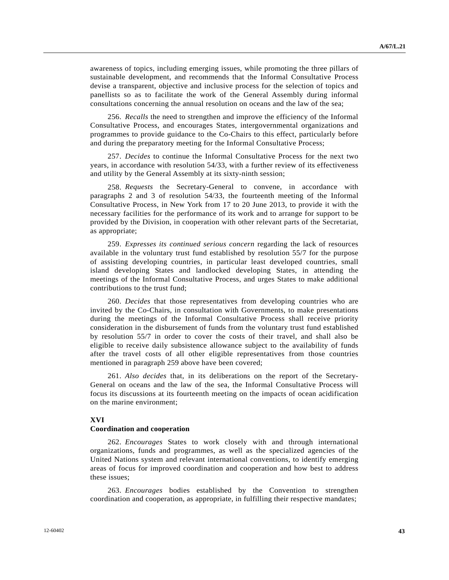awareness of topics, including emerging issues, while promoting the three pillars of sustainable development, and recommends that the Informal Consultative Process devise a transparent, objective and inclusive process for the selection of topics and panellists so as to facilitate the work of the General Assembly during informal consultations concerning the annual resolution on oceans and the law of the sea;

 256. *Recalls* the need to strengthen and improve the efficiency of the Informal Consultative Process, and encourages States, intergovernmental organizations and programmes to provide guidance to the Co-Chairs to this effect, particularly before and during the preparatory meeting for the Informal Consultative Process;

 257. *Decides* to continue the Informal Consultative Process for the next two years, in accordance with resolution 54/33, with a further review of its effectiveness and utility by the General Assembly at its sixty-ninth session;

 258. *Requests* the Secretary-General to convene, in accordance with paragraphs 2 and 3 of resolution 54/33, the fourteenth meeting of the Informal Consultative Process, in New York from 17 to 20 June 2013, to provide it with the necessary facilities for the performance of its work and to arrange for support to be provided by the Division, in cooperation with other relevant parts of the Secretariat, as appropriate;

 259. *Expresses its continued serious concern* regarding the lack of resources available in the voluntary trust fund established by resolution 55/7 for the purpose of assisting developing countries, in particular least developed countries, small island developing States and landlocked developing States, in attending the meetings of the Informal Consultative Process, and urges States to make additional contributions to the trust fund;

 260. *Decides* that those representatives from developing countries who are invited by the Co-Chairs, in consultation with Governments, to make presentations during the meetings of the Informal Consultative Process shall receive priority consideration in the disbursement of funds from the voluntary trust fund established by resolution 55/7 in order to cover the costs of their travel, and shall also be eligible to receive daily subsistence allowance subject to the availability of funds after the travel costs of all other eligible representatives from those countries mentioned in paragraph 259 above have been covered;

 261. *Also decides* that, in its deliberations on the report of the Secretary-General on oceans and the law of the sea, the Informal Consultative Process will focus its discussions at its fourteenth meeting on the impacts of ocean acidification on the marine environment;

# **XVI**

#### **Coordination and cooperation**

 262. *Encourages* States to work closely with and through international organizations, funds and programmes, as well as the specialized agencies of the United Nations system and relevant international conventions, to identify emerging areas of focus for improved coordination and cooperation and how best to address these issues;

 263. *Encourages* bodies established by the Convention to strengthen coordination and cooperation, as appropriate, in fulfilling their respective mandates;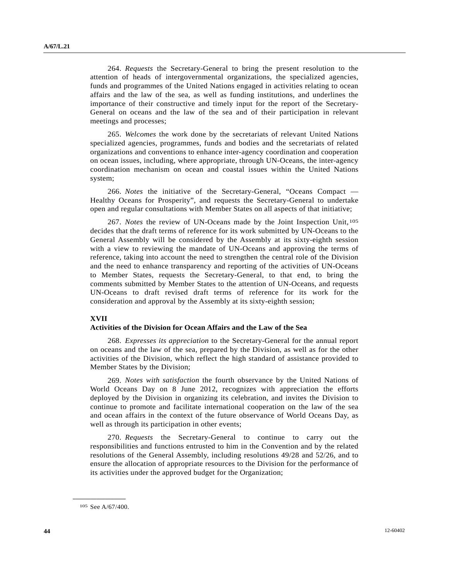264. *Requests* the Secretary-General to bring the present resolution to the attention of heads of intergovernmental organizations, the specialized agencies, funds and programmes of the United Nations engaged in activities relating to ocean affairs and the law of the sea, as well as funding institutions, and underlines the importance of their constructive and timely input for the report of the Secretary-General on oceans and the law of the sea and of their participation in relevant meetings and processes;

 265. *Welcomes* the work done by the secretariats of relevant United Nations specialized agencies, programmes, funds and bodies and the secretariats of related organizations and conventions to enhance inter-agency coordination and cooperation on ocean issues, including, where appropriate, through UN-Oceans, the inter-agency coordination mechanism on ocean and coastal issues within the United Nations system;

 266. *Notes* the initiative of the Secretary-General, "Oceans Compact — Healthy Oceans for Prosperity", and requests the Secretary-General to undertake open and regular consultations with Member States on all aspects of that initiative;

 267. *Notes* the review of UN-Oceans made by the Joint Inspection Unit,[10](#page-43-0)5 decides that the draft terms of reference for its work submitted by UN-Oceans to the General Assembly will be considered by the Assembly at its sixty-eighth session with a view to reviewing the mandate of UN-Oceans and approving the terms of reference, taking into account the need to strengthen the central role of the Division and the need to enhance transparency and reporting of the activities of UN-Oceans to Member States, requests the Secretary-General, to that end, to bring the comments submitted by Member States to the attention of UN-Oceans, and requests UN-Oceans to draft revised draft terms of reference for its work for the consideration and approval by the Assembly at its sixty-eighth session;

# **XVII**

# **Activities of the Division for Ocean Affairs and the Law of the Sea**

 268. *Expresses its appreciation* to the Secretary-General for the annual report on oceans and the law of the sea, prepared by the Division, as well as for the other activities of the Division, which reflect the high standard of assistance provided to Member States by the Division;

 269. *Notes with satisfaction* the fourth observance by the United Nations of World Oceans Day on 8 June 2012, recognizes with appreciation the efforts deployed by the Division in organizing its celebration, and invites the Division to continue to promote and facilitate international cooperation on the law of the sea and ocean affairs in the context of the future observance of World Oceans Day, as well as through its participation in other events;

 270. *Requests* the Secretary-General to continue to carry out the responsibilities and functions entrusted to him in the Convention and by the related resolutions of the General Assembly, including resolutions 49/28 and 52/26, and to ensure the allocation of appropriate resources to the Division for the performance of its activities under the approved budget for the Organization;

<span id="page-43-0"></span>**\_\_\_\_\_\_\_\_\_\_\_\_\_\_\_\_\_\_**  105 See A/67/400.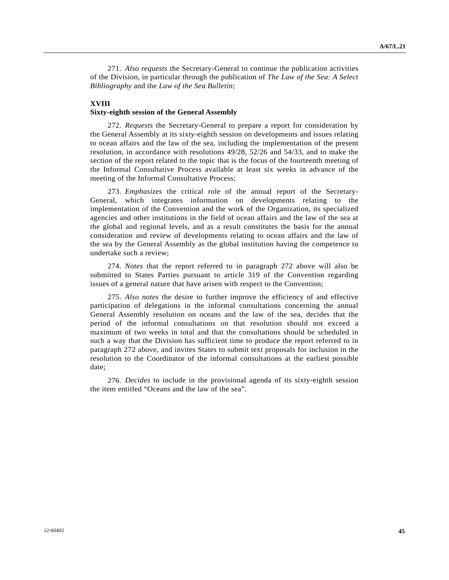271. *Also requests* the Secretary-General to continue the publication activities of the Division, in particular through the publication of *The Law of the Sea: A Select Bibliography* and the *Law of the Sea Bulletin*;

# **XVIII**

#### **Sixty-eighth session of the General Assembly**

 272. *Requests* the Secretary-General to prepare a report for consideration by the General Assembly at its sixty-eighth session on developments and issues relating to ocean affairs and the law of the sea, including the implementation of the present resolution, in accordance with resolutions 49/28, 52/26 and 54/33, and to make the section of the report related to the topic that is the focus of the fourteenth meeting of the Informal Consultative Process available at least six weeks in advance of the meeting of the Informal Consultative Process;

 273. *Emphasizes* the critical role of the annual report of the Secretary-General, which integrates information on developments relating to the implementation of the Convention and the work of the Organization, its specialized agencies and other institutions in the field of ocean affairs and the law of the sea at the global and regional levels, and as a result constitutes the basis for the annual consideration and review of developments relating to ocean affairs and the law of the sea by the General Assembly as the global institution having the competence to undertake such a review;

 274. *Notes* that the report referred to in paragraph 272 above will also be submitted to States Parties pursuant to article 319 of the Convention regarding issues of a general nature that have arisen with respect to the Convention;

 275. *Also notes* the desire to further improve the efficiency of and effective participation of delegations in the informal consultations concerning the annual General Assembly resolution on oceans and the law of the sea, decides that the period of the informal consultations on that resolution should not exceed a maximum of two weeks in total and that the consultations should be scheduled in such a way that the Division has sufficient time to produce the report referred to in paragraph 272 above, and invites States to submit text proposals for inclusion in the resolution to the Coordinator of the informal consultations at the earliest possible date;

 276. *Decides* to include in the provisional agenda of its sixty-eighth session the item entitled "Oceans and the law of the sea".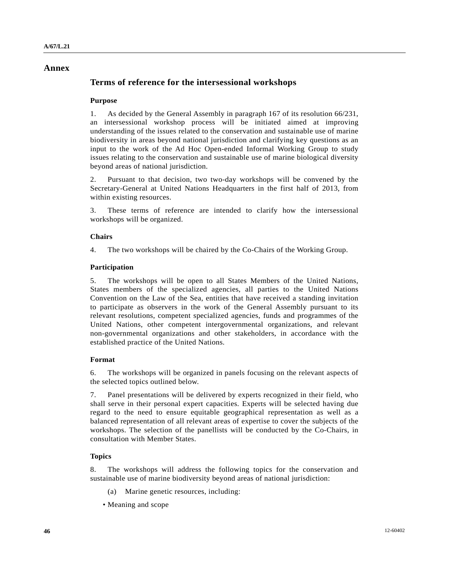# **Annex**

# **Terms of reference for the intersessional workshops**

# **Purpose**

1. As decided by the General Assembly in paragraph 167 of its resolution 66/231, an intersessional workshop process will be initiated aimed at improving understanding of the issues related to the conservation and sustainable use of marine biodiversity in areas beyond national jurisdiction and clarifying key questions as an input to the work of the Ad Hoc Open-ended Informal Working Group to study issues relating to the conservation and sustainable use of marine biological diversity beyond areas of national jurisdiction.

2. Pursuant to that decision, two two-day workshops will be convened by the Secretary-General at United Nations Headquarters in the first half of 2013, from within existing resources.

3. These terms of reference are intended to clarify how the intersessional workshops will be organized.

# **Chairs**

4. The two workshops will be chaired by the Co-Chairs of the Working Group.

# **Participation**

5. The workshops will be open to all States Members of the United Nations, States members of the specialized agencies, all parties to the United Nations Convention on the Law of the Sea, entities that have received a standing invitation to participate as observers in the work of the General Assembly pursuant to its relevant resolutions, competent specialized agencies, funds and programmes of the United Nations, other competent intergovernmental organizations, and relevant non-governmental organizations and other stakeholders, in accordance with the established practice of the United Nations.

# **Format**

6. The workshops will be organized in panels focusing on the relevant aspects of the selected topics outlined below.

7. Panel presentations will be delivered by experts recognized in their field, who shall serve in their personal expert capacities. Experts will be selected having due regard to the need to ensure equitable geographical representation as well as a balanced representation of all relevant areas of expertise to cover the subjects of the workshops. The selection of the panellists will be conducted by the Co-Chairs, in consultation with Member States.

# **Topics**

8. The workshops will address the following topics for the conservation and sustainable use of marine biodiversity beyond areas of national jurisdiction:

- (a) Marine genetic resources, including:
- Meaning and scope